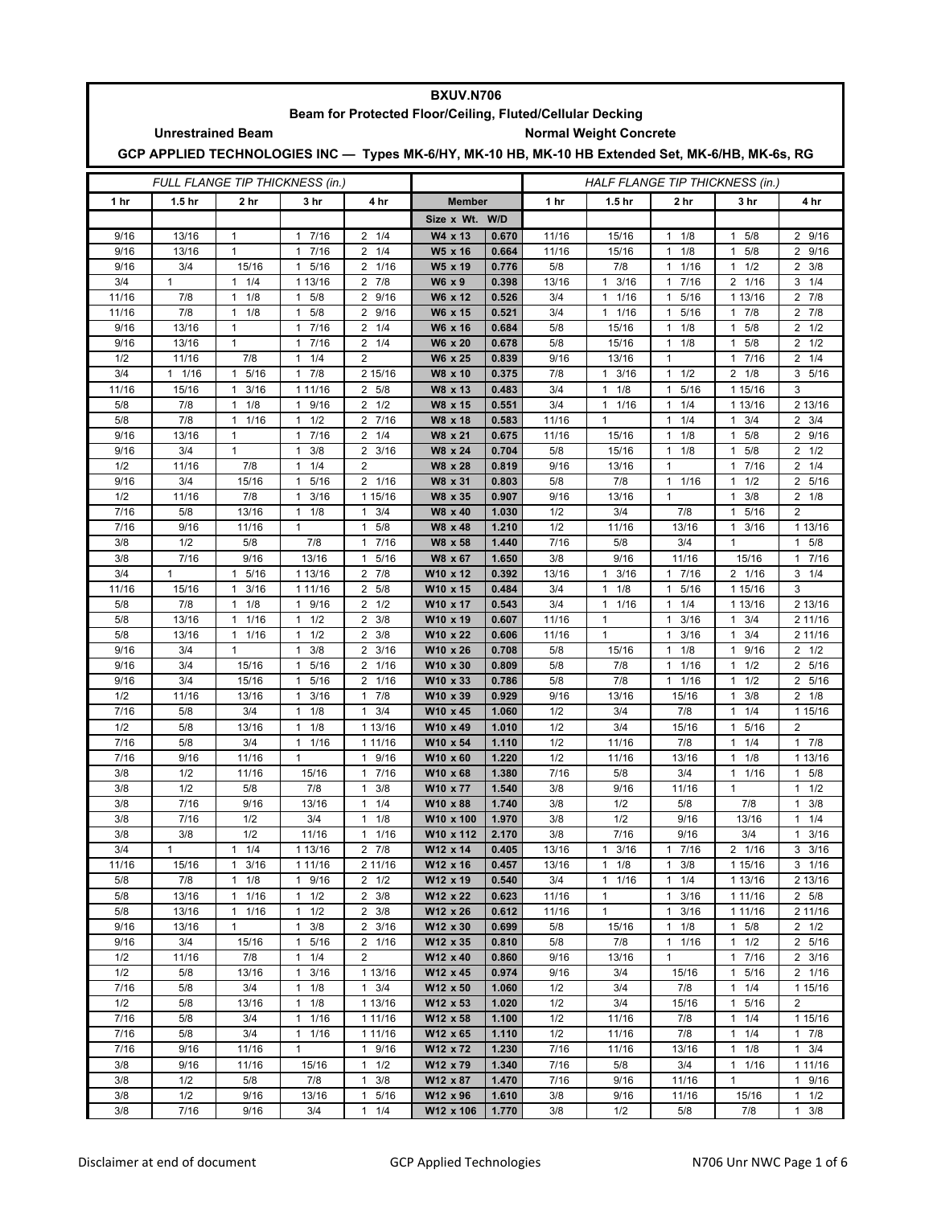| <b>BXUV.N706</b>                                          |                                                                                                   |                                              |                                  |                                          |                      |                                 |                |                              |                                              |                                  |                              |  |  |  |
|-----------------------------------------------------------|---------------------------------------------------------------------------------------------------|----------------------------------------------|----------------------------------|------------------------------------------|----------------------|---------------------------------|----------------|------------------------------|----------------------------------------------|----------------------------------|------------------------------|--|--|--|
| Beam for Protected Floor/Ceiling, Fluted/Cellular Decking |                                                                                                   |                                              |                                  |                                          |                      |                                 |                |                              |                                              |                                  |                              |  |  |  |
| <b>Normal Weight Concrete</b><br><b>Unrestrained Beam</b> |                                                                                                   |                                              |                                  |                                          |                      |                                 |                |                              |                                              |                                  |                              |  |  |  |
|                                                           | GCP APPLIED TECHNOLOGIES INC - Types MK-6/HY, MK-10 HB, MK-10 HB Extended Set, MK-6/HB, MK-6s, RG |                                              |                                  |                                          |                      |                                 |                |                              |                                              |                                  |                              |  |  |  |
| FULL FLANGE TIP THICKNESS (in.)                           |                                                                                                   |                                              |                                  |                                          |                      | HALF FLANGE TIP THICKNESS (in.) |                |                              |                                              |                                  |                              |  |  |  |
| 1 <sub>hr</sub>                                           | 1.5 <sub>hr</sub>                                                                                 | 2 hr                                         | 3 hr                             | 4 hr                                     | <b>Member</b>        |                                 | 1 hr           | 1.5 <sub>hr</sub>            | 2 hr                                         | 3 hr                             | 4 hr                         |  |  |  |
|                                                           |                                                                                                   |                                              |                                  |                                          | Size x Wt.           | W/D                             |                |                              |                                              |                                  |                              |  |  |  |
| 9/16                                                      | 13/16                                                                                             | $\mathbf{1}$                                 | 1 7/16                           | $2 \t1/4$                                | W4 x 13              | 0.670                           | 11/16          | 15/16                        | $\mathbf{1}$<br>1/8                          | 5/8<br>$\mathbf{1}$              | 2 9/16                       |  |  |  |
| 9/16                                                      | 13/16                                                                                             | $\mathbf{1}$                                 | 7/16<br>1                        | 1/4<br>2                                 | W5 x 16              | 0.664                           | 11/16          | 15/16                        | 1/8<br>$\mathbf{1}$                          | 5/8<br>1                         | 2 9/16                       |  |  |  |
| 9/16                                                      | 3/4                                                                                               | 15/16                                        | 5/16<br>1                        | 1/16<br>2                                | W5 x 19              | 0.776                           | 5/8            | 7/8                          | $\mathbf{1}$<br>1/16                         | 1/2<br>1                         | $2 \frac{3}{8}$              |  |  |  |
| 3/4<br>11/16                                              | $\mathbf{1}$<br>7/8                                                                               | 11/4<br>$\mathbf{1}$<br>1/8                  | 1 13/16<br>5/8<br>$\mathbf{1}$   | $\overline{2}$<br>7/8<br>9/16<br>2       | $W6 \times 9$        | 0.398<br>0.526                  | 13/16<br>3/4   | $1 \t3/16$<br>11/16          | 7/16<br>$\mathbf{1}$<br>5/16<br>$\mathbf{1}$ | 2 1/16<br>1 13/16                | $3 \t1/4$<br>$2 \t 7/8$      |  |  |  |
| 11/16                                                     | 7/8                                                                                               | 1/8<br>1                                     | 5/8<br>1                         | 9/16<br>2                                | W6 x 12<br>W6 x 15   | 0.521                           | 3/4            | 1/16<br>1                    | 5/16<br>$\mathbf{1}$                         | 7/8<br>1                         | $2 \t 7/8$                   |  |  |  |
| 9/16                                                      | 13/16                                                                                             | 1                                            | 7/16<br>$\mathbf{1}$             | $\overline{2}$<br>1/4                    | W6 x 16              | 0.684                           | 5/8            | 15/16                        | $\mathbf{1}$<br>1/8                          | 5/8<br>1                         | $2 \frac{1}{2}$              |  |  |  |
| 9/16                                                      | 13/16                                                                                             | $\mathbf{1}$                                 | 7/16<br>$\mathbf{1}$             | $\overline{2}$<br>1/4                    | W6 x 20              | 0.678                           | 5/8            | 15/16                        | 1/8<br>$\mathbf{1}$                          | 5/8<br>1                         | $2 \frac{1}{2}$              |  |  |  |
| 1/2                                                       | 11/16                                                                                             | 7/8                                          | 1/4<br>1                         | $\overline{2}$                           | W6 x 25              | 0.839                           | 9/16           | 13/16                        | $\mathbf{1}$                                 | 7/16<br>1                        | $2 \t1/4$                    |  |  |  |
| 3/4                                                       | $1 \t1/16$                                                                                        | $\mathbf{1}$<br>5/16                         | 7/8<br>$\mathbf{1}$              | 2 15/16                                  | W8 x 10              | 0.375                           | 7/8            | 3/16<br>$\mathbf{1}$         | $\mathbf{1}$<br>1/2                          | $\overline{2}$<br>1/8            | 3, 5/16                      |  |  |  |
| 11/16                                                     | 15/16                                                                                             | 3/16<br>$\mathbf{1}$                         | 1 11/16                          | $\overline{2}$<br>5/8                    | W8 x 13              | 0.483                           | 3/4            | 1/8<br>1                     | 5/16<br>$\mathbf{1}$                         | 1 15/16                          | 3                            |  |  |  |
| 5/8                                                       | 7/8                                                                                               | 1/8<br>$\mathbf{1}$                          | 9/16<br>$\mathbf{1}$             | $\overline{2}$<br>1/2                    | W8 x 15              | 0.551                           | 3/4            | 1 1/16                       | 1/4<br>$\mathbf{1}$                          | 1 13/16                          | 2 13/16                      |  |  |  |
| 5/8                                                       | 7/8                                                                                               | $\mathbf{1}$<br>1/16                         | $\mathbf{1}$<br>1/2              | 7/16<br>$\overline{2}$                   | W8 x 18              | 0.583                           | 11/16          | 1                            | $\mathbf{1}$<br>1/4                          | 3/4<br>1                         | $2 \frac{3}{4}$              |  |  |  |
| 9/16                                                      | 13/16                                                                                             | $\mathbf{1}$                                 | 7/16<br>$\mathbf{1}$             | $\overline{2}$<br>1/4                    | W8 x 21              | 0.675                           | 11/16          | 15/16                        | 1/8<br>$\mathbf{1}$                          | 5/8<br>$\mathbf{1}$              | 2 9/16                       |  |  |  |
| 9/16<br>1/2                                               | 3/4<br>11/16                                                                                      | $\mathbf{1}$<br>7/8                          | 3/8<br>1<br>1/4<br>1             | $\overline{2}$<br>3/16<br>$\overline{2}$ | W8 x 24<br>W8 x 28   | 0.704<br>0.819                  | 5/8<br>9/16    | 15/16<br>13/16               | 1/8<br>$\mathbf{1}$<br>$\mathbf{1}$          | 5/8<br>$\mathbf{1}$<br>7/16<br>1 | $2 \frac{1}{2}$<br>$2 \t1/4$ |  |  |  |
| 9/16                                                      | 3/4                                                                                               | 15/16                                        | 5/16<br>1                        | 2 1/16                                   | W8 x 31              | 0.803                           | 5/8            | 7/8                          | $\mathbf{1}$<br>1/16                         | 1/2<br>1                         | 2 5/16                       |  |  |  |
| 1/2                                                       | 11/16                                                                                             | 7/8                                          | 3/16<br>1                        | 1 15/16                                  | W8 x 35              | 0.907                           | 9/16           | 13/16                        | $\mathbf{1}$                                 | 3/8<br>1                         | $\overline{2}$<br>1/8        |  |  |  |
| 7/16                                                      | 5/8                                                                                               | 13/16                                        | $1 \t1/8$                        | 3/4<br>$\mathbf{1}$                      | W8 x 40              | 1.030                           | 1/2            | 3/4                          | 7/8                                          | 5/16<br>1                        | $\overline{2}$               |  |  |  |
| 7/16                                                      | 9/16                                                                                              | 11/16                                        | $\mathbf{1}$                     | 5/8<br>$\mathbf{1}$                      | W8 x 48              | 1.210                           | 1/2            | 11/16                        | 13/16                                        | 3/16<br>1                        | 1 13/16                      |  |  |  |
| 3/8                                                       | 1/2                                                                                               | 5/8                                          | 7/8                              | 7/16<br>$\mathbf{1}$                     | W8 x 58              | 1.440                           | 7/16           | 5/8                          | 3/4                                          | $\mathbf{1}$                     | 5/8<br>1                     |  |  |  |
| 3/8                                                       | 7/16                                                                                              | 9/16                                         | 13/16                            | 5/16<br>$\mathbf{1}$                     | W8 x 67              | 1.650                           | 3/8            | 9/16                         | 11/16                                        | 15/16                            | 7/16<br>$\mathbf{1}$         |  |  |  |
| 3/4                                                       | $\mathbf{1}$                                                                                      | 5/16<br>$\mathbf{1}$                         | 1 13/16                          | 7/8<br>$\mathbf{2}$                      | W10 x 12             | 0.392                           | 13/16          | 3/16<br>1                    | 17/16                                        | 2 1/16                           | $3 \t1/4$                    |  |  |  |
| 11/16                                                     | 15/16                                                                                             | 3/16<br>$\mathbf{1}$                         | 1 11/16                          | 2<br>5/8                                 | W10 x 15             | 0.484                           | 3/4            | 1/8<br>1                     | 5/16<br>$\mathbf{1}$                         | 1 15/16                          | 3                            |  |  |  |
| 5/8                                                       | 7/8                                                                                               | 1/8<br>$\mathbf{1}$                          | 9/16<br>$\mathbf{1}$             | $\overline{2}$<br>1/2                    | W10 x 17             | 0.543                           | 3/4            | 11/16                        | 1/4<br>$\mathbf{1}$                          | 1 13/16                          | 2 13/16                      |  |  |  |
| 5/8<br>5/8                                                | 13/16<br>13/16                                                                                    | 1/16<br>$\mathbf{1}$<br>$\mathbf{1}$<br>1/16 | $1 \t1/2$<br>1/2<br>1            | 3/8<br>2<br>3/8<br>2                     | W10 x 19<br>W10 x 22 | 0.607<br>0.606                  | 11/16<br>11/16 | 1<br>$\mathbf{1}$            | 3/16<br>$\mathbf{1}$<br>3/16<br>$\mathbf{1}$ | 3/4<br>$\mathbf{1}$<br>3/4<br>1  | 2 11/16<br>2 11/16           |  |  |  |
| 9/16                                                      | 3/4                                                                                               | $\mathbf{1}$                                 | 3/8<br>1                         | $\overline{2}$<br>3/16                   | W10 x 26             | 0.708                           | 5/8            | 15/16                        | $\mathbf{1}$<br>1/8                          | 9/16<br>1                        | $2 \frac{1}{2}$              |  |  |  |
| 9/16                                                      | 3/4                                                                                               | 15/16                                        | 5/16<br>$\mathbf{1}$             | $\overline{2}$<br>1/16                   | W10 x 30             | 0.809                           | 5/8            | 7/8                          | 1/16<br>$\mathbf{1}$                         | 1/2<br>$\mathbf{1}$              | 2 5/16                       |  |  |  |
| 9/16                                                      | 3/4                                                                                               | 15/16                                        | 5/16<br>1                        | 1/16<br>2                                | W10 x 33             | 0.786                           | 5/8            | 7/8                          | 1/16<br>$\mathbf{1}$                         | 1/2<br>1                         | 2 5/16                       |  |  |  |
| 1/2                                                       | 11/16                                                                                             | 13/16                                        | 3/16<br>1                        | 7/8<br>$\mathbf{1}$                      | W10 x 39             | 0.929                           | 9/16           | 13/16                        | 15/16                                        | 3/8<br>1                         | $2 \t1/8$                    |  |  |  |
| 7/16                                                      | 5/8                                                                                               | 3/4                                          | 1/8<br>1                         | 3/4<br>$\mathbf{1}$                      | W10 x 45             | 1.060                           | 1/2            | 3/4                          | 7/8                                          | 1/4<br>$\mathbf{1}$              | 1 15/16                      |  |  |  |
| 1/2                                                       | 5/8                                                                                               | 13/16                                        | 1/8<br>1                         | 1 13/16                                  | W10 x 49             | 1.010                           | 1/2            | 3/4                          | 15/16                                        | 5/16<br>1                        | $\overline{2}$               |  |  |  |
| 7/16                                                      | 5/8                                                                                               | 3/4                                          | 1/16<br>1                        | 1 11/16                                  | W10 x 54             | 1.110                           | 1/2            | 11/16                        | 7/8                                          | 1/4<br>1                         | 7/8<br>$\mathbf{1}$          |  |  |  |
| 7/16                                                      | 9/16                                                                                              | 11/16<br>11/16                               | 1                                | $\mathbf{1}$<br>9/16                     | W10 x 60             | 1.220                           | 1/2            | 11/16                        | 13/16                                        | 1/8<br>1                         | 1 13/16                      |  |  |  |
| 3/8<br>3/8                                                | 1/2<br>1/2                                                                                        | 5/8                                          | 15/16<br>7/8                     | 1 7/16<br>$\mathbf{1}$<br>3/8            | W10 x 68<br>W10 x 77 | 1.380<br>1.540                  | 7/16<br>3/8    | 5/8<br>9/16                  | 3/4<br>11/16                                 | 1 1/16<br>$\mathbf{1}$           | 1 5/8<br>$1 \t1/2$           |  |  |  |
| 3/8                                                       | 7/16                                                                                              | 9/16                                         | 13/16                            | $\mathbf{1}$<br>1/4                      | W10 x 88             | 1.740                           | 3/8            | 1/2                          | 5/8                                          | 7/8                              | 3/8<br>1                     |  |  |  |
| 3/8                                                       | 7/16                                                                                              | 1/2                                          | 3/4                              | $1 \t1/8$                                | W10 x 100            | 1.970                           | 3/8            | 1/2                          | 9/16                                         | 13/16                            | 1/4<br>$\mathbf{1}$          |  |  |  |
| 3/8                                                       | 3/8                                                                                               | 1/2                                          | 11/16                            | 1/16<br>$\mathbf{1}$                     | W10 x 112            | 2.170                           | 3/8            | 7/16                         | 9/16                                         | 3/4                              | $1 \t3/16$                   |  |  |  |
| 3/4                                                       | $\mathbf{1}$                                                                                      | $1 \t1/4$                                    | 1 13/16                          | $2 \t 7/8$                               | W12 x 14             | 0.405                           | 13/16          | $1 \t3/16$                   | 7/16<br>$\mathbf{1}$                         | 2 1/16                           | $3 \frac{3}{16}$             |  |  |  |
| 11/16                                                     | 15/16                                                                                             | 3/16<br>1                                    | 1 11/16                          | 2 11/16                                  | W12 x 16             | 0.457                           | 13/16          | $1 \t1/8$                    | 3/8<br>$\mathbf{1}$                          | 1 15/16                          | $3 \t1/16$                   |  |  |  |
| 5/8                                                       | 7/8                                                                                               | 1/8<br>$\mathbf{1}$                          | 9/16<br>$\mathbf{1}$             | $2 \frac{1}{2}$                          | W12 x 19             | 0.540                           | 3/4            | 11/16                        | 1/4<br>$\mathbf{1}$                          | 1 13/16                          | 2 13/16                      |  |  |  |
| 5/8<br>5/8                                                | 13/16                                                                                             | 1/16<br>$\mathbf{1}$                         | $1 \t1/2$                        | $2 \frac{3}{8}$<br>$2 \frac{3}{8}$       | W12 x 22<br>W12 x 26 | 0.623<br>0.612                  | 11/16          | $\mathbf{1}$<br>$\mathbf{1}$ | $\mathbf{1}$<br>3/16<br>3/16                 | 1 1 1 / 1 6                      | 2 5/8                        |  |  |  |
| 9/16                                                      | 13/16<br>13/16                                                                                    | $1 \t1/16$<br>$\mathbf{1}$                   | $1 \t1/2$<br>3/8<br>$\mathbf{1}$ | $\overline{2}$<br>3/16                   | W12 x 30             | 0.699                           | 11/16<br>5/8   | 15/16                        | $\mathbf{1}$<br>1/8<br>$\mathbf{1}$          | 1 1 1 / 1 6<br>$1 \t5/8$         | 2 11/16<br>$2 \frac{1}{2}$   |  |  |  |
| 9/16                                                      | 3/4                                                                                               | 15/16                                        | 5/16<br>$\mathbf{1}$             | 2 1/16                                   | W12 x 35             | 0.810                           | 5/8            | 7/8                          | 1/16<br>$\mathbf{1}$                         | 1/2<br>$\mathbf{1}$              | 2 5/16                       |  |  |  |
| 1/2                                                       | 11/16                                                                                             | 7/8                                          | $1 \t1/4$                        | 2                                        | W12 x 40             | 0.860                           | 9/16           | 13/16                        | $\mathbf{1}$                                 | 1 7/16                           | $2 \frac{3}{16}$             |  |  |  |
| 1/2                                                       | 5/8                                                                                               | 13/16                                        | 3/16<br>1                        | 1 13/16                                  | W12 x 45             | 0.974                           | 9/16           | 3/4                          | 15/16                                        | 5/16<br>1                        | 2 1/16                       |  |  |  |
| 7/16                                                      | 5/8                                                                                               | 3/4                                          | $1 \t1/8$                        | $1 \t3/4$                                | W12 x 50             | 1.060                           | 1/2            | 3/4                          | 7/8                                          | 1/4<br>$\mathbf{1}$              | 1 15/16                      |  |  |  |
| 1/2                                                       | 5/8                                                                                               | 13/16                                        | $1 \t1/8$                        | 1 13/16                                  | W12 x 53             | 1.020                           | 1/2            | 3/4                          | 15/16                                        | 1 5/16                           | $\overline{2}$               |  |  |  |
| 7/16                                                      | 5/8                                                                                               | 3/4                                          | 1 1/16                           | 1 11/16                                  | W12 x 58             | 1.100                           | 1/2            | 11/16                        | 7/8                                          | 1/4<br>1                         | 1 15/16                      |  |  |  |
| 7/16                                                      | $5/8$                                                                                             | 3/4                                          | 11/16                            | 1 11/16                                  | W12 x 65             | 1.110                           | 1/2            | 11/16                        | 7/8                                          | 1/4<br>1                         | 17/8                         |  |  |  |
| 7/16<br>3/8                                               | 9/16<br>9/16                                                                                      | 11/16<br>11/16                               | $\mathbf{1}$<br>15/16            | 1 9/16<br>$1 \t1/2$                      | W12 x 72<br>W12 x 79 | 1.230<br>1.340                  | 7/16<br>7/16   | 11/16<br>5/8                 | 13/16<br>3/4                                 | $1 \t1/8$<br>$1 \t1/16$          | $1 \t3/4$<br>1 1 1/16        |  |  |  |
| 3/8                                                       | 1/2                                                                                               | 5/8                                          | 7/8                              | $\mathbf{1}$<br>3/8                      | W12 x 87             | 1.470                           | 7/16           | 9/16                         | 11/16                                        | $\mathbf{1}$                     | 9/16<br>$\mathbf{1}$         |  |  |  |
| 3/8                                                       | 1/2                                                                                               | 9/16                                         | 13/16                            | 5/16<br>$\mathbf{1}$                     | W12 x 96             | 1.610                           | 3/8            | 9/16                         | 11/16                                        | 15/16                            | $1 \t1/2$                    |  |  |  |
| 3/8                                                       | 7/16                                                                                              | 9/16                                         | 3/4                              | 1/4<br>$\mathbf{1}$                      | W12 x 106            | 1.770                           | 3/8            | 1/2                          | 5/8                                          | 7/8                              | 3/8<br>1                     |  |  |  |
|                                                           |                                                                                                   |                                              |                                  |                                          |                      |                                 |                |                              |                                              |                                  |                              |  |  |  |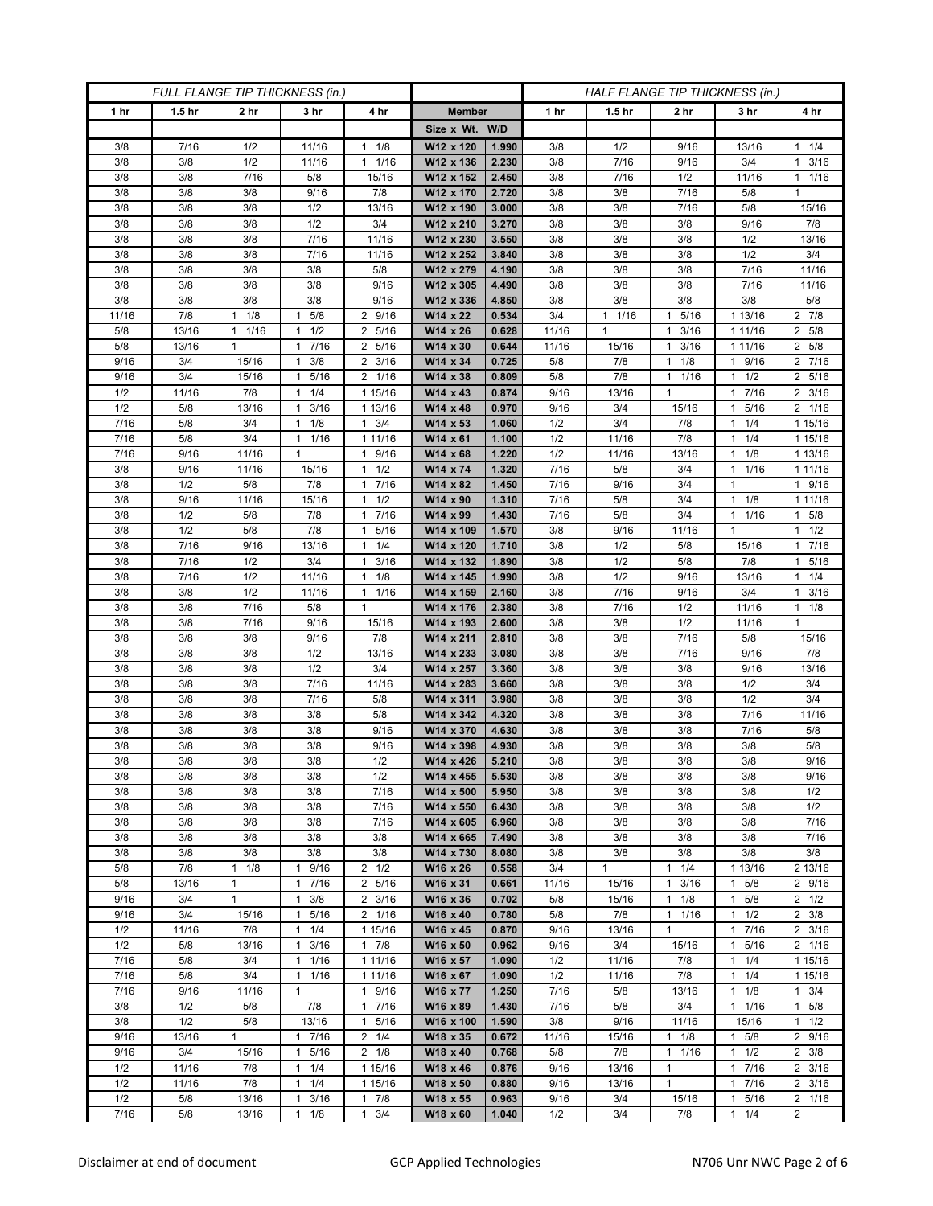| FULL FLANGE TIP THICKNESS (in.) |                   |                 |                      |                                             |                        |                | HALF FLANGE TIP THICKNESS (in.) |                   |                              |                      |                     |
|---------------------------------|-------------------|-----------------|----------------------|---------------------------------------------|------------------------|----------------|---------------------------------|-------------------|------------------------------|----------------------|---------------------|
| 1 hr                            | 1.5 <sub>hr</sub> | 2 <sub>hr</sub> | 3 <sub>hr</sub>      | 4 hr                                        | <b>Member</b>          |                | 1 hr                            | 1.5 <sub>hr</sub> | 2 <sub>hr</sub>              | 3 hr                 | 4 hr                |
|                                 |                   |                 |                      |                                             | Size x Wt. W/D         |                |                                 |                   |                              |                      |                     |
| 3/8                             | 7/16              | 1/2             | 11/16                | 1/8<br>1                                    | W12 x 120              | 1.990          | 3/8                             | 1/2               | 9/16                         | 13/16                | $1 \t1/4$           |
| 3/8                             | 3/8               | 1/2             | 11/16                | 11/16                                       | W12 x 136              | 2.230          | 3/8                             | 7/16              | 9/16                         | 3/4                  | $1 \t3/16$          |
| 3/8                             | 3/8               | 7/16            | $5/8$                | 15/16                                       | W12 x 152              | 2.450          | 3/8                             | 7/16              | 1/2                          | 11/16                | 11/16               |
| 3/8                             | 3/8               | 3/8             | 9/16                 | 7/8                                         | W12 x 170              | 2.720          | 3/8                             | 3/8               | 7/16                         | 5/8                  | 1                   |
| 3/8                             | 3/8               | 3/8             | 1/2                  | 13/16                                       | W12 x 190              | 3.000          | 3/8                             | 3/8               | 7/16                         | 5/8                  | 15/16               |
| 3/8                             | 3/8               | 3/8             | 1/2                  | 3/4                                         | W12 x 210              | 3.270          | 3/8                             | 3/8               | 3/8                          | 9/16                 | 7/8                 |
| 3/8                             | 3/8               | 3/8             | 7/16                 | 11/16                                       | W12 x 230              | 3.550          | 3/8                             | 3/8               | 3/8                          | 1/2                  | 13/16               |
| 3/8                             | 3/8               | 3/8             | 7/16                 | 11/16                                       | W12 x 252              | 3.840          | 3/8                             | 3/8               | 3/8                          | 1/2                  | 3/4                 |
| 3/8                             | 3/8               | 3/8             | 3/8                  | 5/8                                         | W12 x 279              | 4.190          | 3/8                             | 3/8               | 3/8                          | 7/16                 | 11/16               |
| 3/8<br>3/8                      | 3/8<br>3/8        | 3/8<br>3/8      | 3/8<br>3/8           | 9/16<br>9/16                                | W12 x 305              | 4.490<br>4.850 | 3/8<br>3/8                      | 3/8<br>3/8        | 3/8<br>3/8                   | 7/16<br>3/8          | 11/16<br>5/8        |
| 11/16                           | 7/8               | 1/8<br>1        | 5/8<br>1             | 2 9/16                                      | W12 x 336<br>W14 x 22  | 0.534          | 3/4                             | $1 \t1/16$        | 5/16<br>$\mathbf{1}$         | 1 13/16              | $2 \t 7/8$          |
| 5/8                             | 13/16             | 1/16<br>1       | 1/2<br>1             | 2 5/16                                      | W14 x 26               | 0.628          | 11/16                           | 1                 | 3/16<br>$\mathbf{1}$         | 1 1 1 / 16           | 2 5/8               |
| 5/8                             | 13/16             | $\mathbf{1}$    | 7/16<br>$\mathbf{1}$ | 5/16<br>$\overline{2}$                      | W14 x 30               | 0.644          | 11/16                           | 15/16             | 3/16<br>1                    | 1 11/16              | 2 5/8               |
| 9/16                            | 3/4               | 15/16           | 3/8<br>1             | 3/16<br>2                                   | W14 x 34               | 0.725          | 5/8                             | 7/8               | 1/8<br>$\mathbf{1}$          | 9/16<br>1.           | 2 7/16              |
| 9/16                            | 3/4               | 15/16           | 5/16<br>1            | 2 1/16                                      | W14 x 38               | 0.809          | 5/8                             | 7/8               | 1/16<br>$\mathbf{1}$         | 1/2<br>1             | 2 5/16              |
| 1/2                             | 11/16             | 7/8             | 1/4<br>$\mathbf{1}$  | 1 15/16                                     | W14 x 43               | 0.874          | 9/16                            | 13/16             | $\mathbf{1}$                 | 7/16<br>1            | $2 \frac{3}{16}$    |
| 1/2                             | 5/8               | 13/16           | $1 \t3/16$           | 1 13/16                                     | W14 x 48               | 0.970          | 9/16                            | 3/4               | 15/16                        | 5/16<br>$\mathbf{1}$ | 2 1/16              |
| 7/16                            | 5/8               | 3/4             | $1 \t1/8$            | 3/4<br>$\mathbf{1}$                         | W14 x 53               | 1.060          | 1/2                             | 3/4               | 7/8                          | 1/4<br>1             | 1 15/16             |
| 7/16                            | 5/8               | 3/4             | 1/16<br>$\mathbf{1}$ | 1 11/16                                     | W14 x 61               | 1.100          | 1/2                             | 11/16             | 7/8                          | 1/4<br>1             | 1 15/16             |
| 7/16                            | 9/16              | 11/16           | $\mathbf{1}$         | 9/16<br>$\mathbf{1}$                        | W14 x 68               | 1.220          | 1/2                             | 11/16             | 13/16                        | 1/8<br>1             | 1 13/16             |
| 3/8                             | 9/16              | 11/16           | 15/16                | 1/2<br>1                                    | W14 x 74               | 1.320          | 7/16                            | 5/8               | 3/4                          | 1 1/16               | 1 1 1 / 16          |
| 3/8                             | 1/2               | 5/8             | 7/8                  | 7/16<br>$\mathbf{1}$                        | W14 x 82               | 1.450          | 7/16                            | 9/16              | 3/4                          | 1                    | 1 9/16              |
| 3/8                             | 9/16              | 11/16           | 15/16                | 1/2<br>$\mathbf{1}$                         | W14 x 90               | 1.310          | 7/16                            | 5/8               | 3/4                          | 1/8<br>$\mathbf{1}$  | 1 11/16             |
| 3/8                             | 1/2               | 5/8             | 7/8                  | 7/16<br>$\mathbf{1}$                        | W14 x 99               | 1.430          | 7/16                            | 5/8               | 3/4                          | 1 1/16               | $1 \t5/8$           |
| 3/8                             | 1/2               | 5/8             | 7/8                  | 5/16<br>$\mathbf{1}$                        | W14 x 109              | 1.570          | 3/8                             | 9/16              | 11/16                        | 1                    | $1 \t1/2$           |
| 3/8                             | 7/16              | 9/16            | 13/16                | 1/4<br>$\mathbf{1}$                         | W14 x 120              | 1.710          | 3/8                             | 1/2               | 5/8                          | 15/16                | 17/16               |
| 3/8<br>3/8                      | 7/16<br>7/16      | 1/2<br>1/2      | 3/4<br>11/16         | 3/16<br>$\mathbf{1}$<br>1/8<br>$\mathbf{1}$ | W14 x 132              | 1.890<br>1.990 | 3/8<br>3/8                      | 1/2<br>1/2        | 5/8<br>9/16                  | 7/8<br>13/16         | 1 5/16<br>$1 \t1/4$ |
| 3/8                             | 3/8               | 1/2             | 11/16                | 1/16<br>1                                   | W14 x 145<br>W14 x 159 | 2.160          | 3/8                             | 7/16              | 9/16                         | 3/4                  | $1 \t3/16$          |
| 3/8                             | 3/8               | 7/16            | 5/8                  | $\mathbf{1}$                                | W14 x 176              | 2.380          | 3/8                             | 7/16              | 1/2                          | 11/16                | $1 \t1/8$           |
| 3/8                             | 3/8               | 7/16            | 9/16                 | 15/16                                       | W14 x 193              | 2.600          | 3/8                             | 3/8               | 1/2                          | 11/16                | 1                   |
| 3/8                             | 3/8               | 3/8             | 9/16                 | 7/8                                         | W14 x 211              | 2.810          | 3/8                             | 3/8               | 7/16                         | 5/8                  | 15/16               |
| 3/8                             | 3/8               | 3/8             | 1/2                  | 13/16                                       | W14 x 233              | 3.080          | 3/8                             | 3/8               | 7/16                         | 9/16                 | 7/8                 |
| 3/8                             | 3/8               | 3/8             | 1/2                  | 3/4                                         | W14 x 257              | 3.360          | 3/8                             | 3/8               | 3/8                          | 9/16                 | 13/16               |
| 3/8                             | 3/8               | 3/8             | 7/16                 | 11/16                                       | W14 x 283              | 3.660          | 3/8                             | 3/8               | 3/8                          | 1/2                  | 3/4                 |
| 3/8                             | 3/8               | 3/8             | 7/16                 | 5/8                                         | W14 x 311              | 3.980          | 3/8                             | 3/8               | 3/8                          | 1/2                  | 3/4                 |
| 3/8                             | 3/8               | 3/8             | 3/8                  | 5/8                                         | W14 x 342              | 4.320          | 3/8                             | 3/8               | 3/8                          | 7/16                 | 11/16               |
| 3/8                             | 3/8               | 3/8             | 3/8                  | 9/16                                        | W14 x 370              | 4.630          | 3/8                             | 3/8               | 3/8                          | 7/16                 | 5/8                 |
| 3/8                             | 3/8               | 3/8             | 3/8                  | 9/16                                        | W14 x 398              | 4.930          | 3/8                             | 3/8               | 3/8                          | 3/8                  | 5/8                 |
| 3/8                             | 3/8               | 3/8             | 3/8                  | 1/2                                         | W14 x 426              | 5.210          | 3/8                             | 3/8               | 3/8                          | 3/8                  | 9/16                |
| 3/8                             | 3/8               | 3/8             | 3/8                  | 1/2                                         | W14 x 455              | 5.530          | 3/8                             | 3/8               | 3/8                          | 3/8                  | 9/16                |
| 3/8<br>3/8                      | 3/8<br>3/8        | 3/8<br>3/8      | 3/8<br>3/8           | 7/16<br>7/16                                | W14 x 500<br>W14 x 550 | 5.950<br>6.430 | 3/8<br>3/8                      | 3/8<br>3/8        | 3/8<br>3/8                   | 3/8<br>3/8           | 1/2<br>1/2          |
| 3/8                             | 3/8               | 3/8             | 3/8                  | 7/16                                        | W14 x 605              | 6.960          | 3/8                             | 3/8               | 3/8                          | 3/8                  | 7/16                |
| 3/8                             | 3/8               | 3/8             | 3/8                  | 3/8                                         | W14 x 665              | 7.490          | 3/8                             | 3/8               | 3/8                          | 3/8                  | 7/16                |
| 3/8                             | 3/8               | 3/8             | 3/8                  | 3/8                                         | W14 x 730              | 8.080          | 3/8                             | 3/8               | 3/8                          | 3/8                  | 3/8                 |
| 5/8                             | 7/8               | 1<br>1/8        | 9/16<br>1            | $2 \frac{1}{2}$                             | W16 x 26               | 0.558          | 3/4                             | $\mathbf{1}$      | 1/4<br>$\mathbf{1}$          | 1 13/16              | 2 13/16             |
| 5/8                             | 13/16             | $\mathbf{1}$    | 17/16                | 2 5/16                                      | W16 x 31               | 0.661          | 11/16                           | 15/16             | 3/16<br>$\mathbf{1}$         | $1 \t5/8$            | 2 9/16              |
| 9/16                            | 3/4               | $\mathbf{1}$    | $1 \t3/8$            | $2 \frac{3}{16}$                            | W16 x 36               | 0.702          | 5/8                             | 15/16             | 1/8<br>$\mathbf{1}$          | $1 \t5/8$            | $2 \frac{1}{2}$     |
| 9/16                            | 3/4               | 15/16           | 5/16<br>1            | 2 1/16                                      | W16 x 40               | 0.780          | 5/8                             | 7/8               | 1/16<br>$\mathbf{1}$         | 1/2<br>1             | $2 \frac{3}{8}$     |
| 1/2                             | 11/16             | 7/8             | $1 \t1/4$            | 1 15/16                                     | W16 x 45               | 0.870          | 9/16                            | 13/16             | $\mathbf{1}$                 | 7/16<br>$\mathbf{1}$ | $2 \frac{3}{16}$    |
| 1/2                             | 5/8               | 13/16           | $1 \t3/16$           | 17/8                                        | W16 x 50               | 0.962          | 9/16                            | 3/4               | 15/16                        | 1 5/16               | 2 1/16              |
| 7/16                            | 5/8               | 3/4             | 1/16<br>1            | 1 11/16                                     | W16 x 57               | 1.090          | 1/2                             | 11/16             | 7/8                          | 1/4<br>1             | 1 15/16             |
| 7/16                            | $5/8$             | 3/4             | 1/16<br>$\mathbf{1}$ | 1 11/16                                     | W16 x 67               | 1.090          | 1/2                             | 11/16             | 7/8                          | 1/4<br>1             | 1 15/16             |
| 7/16                            | 9/16              | 11/16           | $\mathbf{1}$         | 9/16<br>$\mathbf{1}$                        | W16 x 77               | 1.250          | 7/16                            | 5/8               | 13/16                        | $1 \t1/8$            | $1 \t3/4$           |
| 3/8                             | 1/2               | 5/8             | 7/8                  | 7/16<br>$\mathbf{1}$                        | W16 x 89               | 1.430          | 7/16                            | 5/8               | 3/4                          | 1 1/16               | $1 \t5/8$           |
| 3/8<br>9/16                     | 1/2<br>13/16      | 5/8<br>1        | 13/16<br>1 7/16      | 5/16<br>$\mathbf{1}$<br>$2 \t1/4$           | W16 x 100<br>W18 x 35  | 1.590<br>0.672 | 3/8<br>11/16                    | 9/16<br>15/16     | 11/16<br>1/8<br>$\mathbf{1}$ | 15/16<br>$1 \t5/8$   | $1 \t1/2$<br>2 9/16 |
| 9/16                            | 3/4               | 15/16           | 5/16<br>$\mathbf{1}$ | $2 \t1/8$                                   | W18 x 40               | 0.768          | 5/8                             | 7/8               | 1/16<br>1                    | 1/2<br>$\mathbf{1}$  | $2 \frac{3}{8}$     |
| 1/2                             | 11/16             | 7/8             | 1/4<br>$\mathbf{1}$  | 1 15/16                                     | W18 x 46               | 0.876          | 9/16                            | 13/16             | $\mathbf{1}$                 | 7/16<br>$\mathbf{1}$ | $2 \frac{3}{16}$    |
| 1/2                             | 11/16             | 7/8             | 1/4<br>1             | 1 15/16                                     | W18 x 50               | 0.880          | 9/16                            | 13/16             | $\mathbf{1}$                 | 7/16<br>1            | $2 \frac{3}{16}$    |
| 1/2                             | $5/8$             | 13/16           | 3/16<br>1            | 7/8<br>1                                    | W18 x 55               | 0.963          | 9/16                            | 3/4               | 15/16                        | 5/16<br>1            | 2 1/16              |
| 7/16                            | 5/8               | 13/16           | 1/8<br>$\mathbf{1}$  | 3/4<br>$\mathbf{1}$                         | W18 x 60               | 1.040          | 1/2                             | 3/4               | 7/8                          | $\mathbf{1}$<br>1/4  | $\overline{2}$      |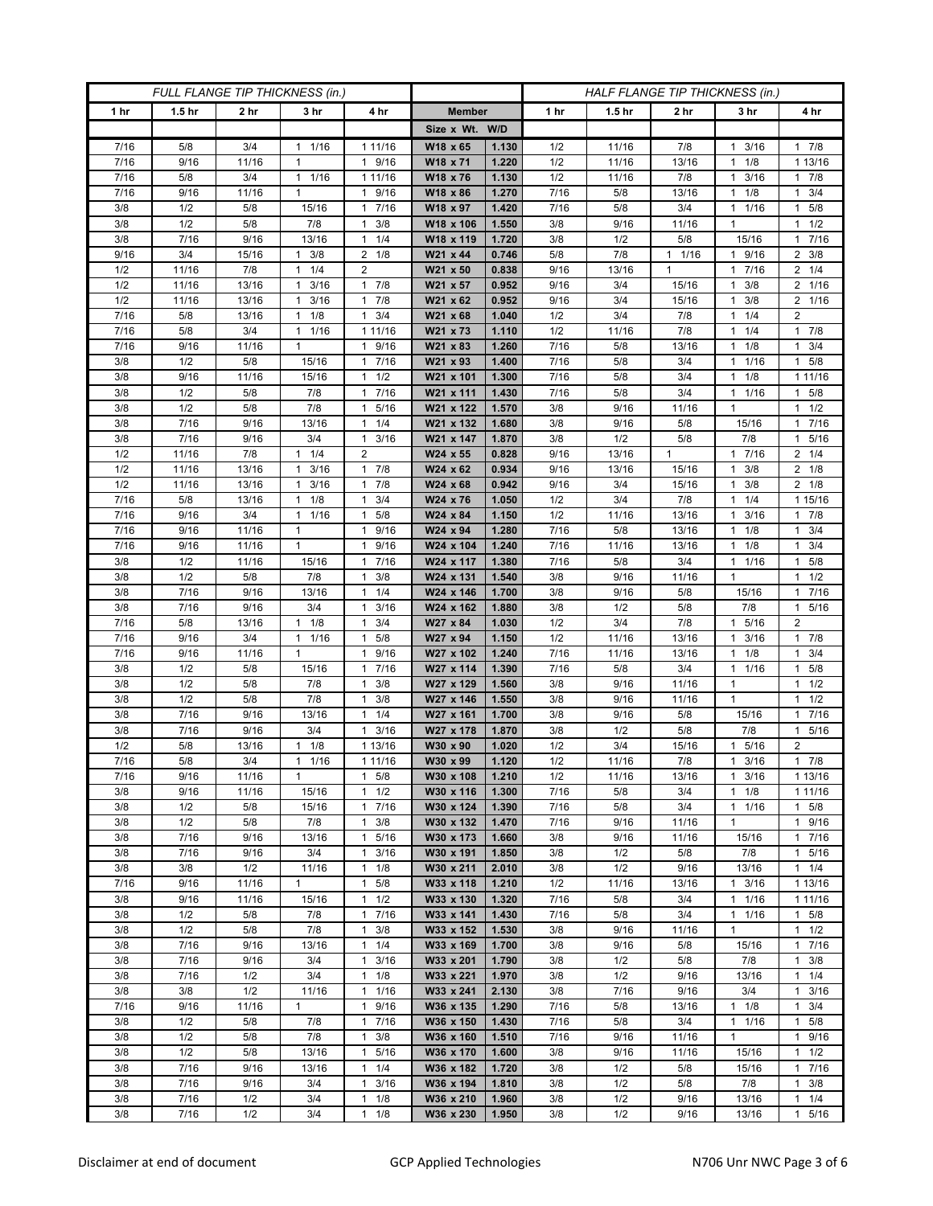| FULL FLANGE TIP THICKNESS (in.) |                   |                   |                           |                                  | HALF FLANGE TIP THICKNESS (in.) |                |              |                   |              |                            |                          |
|---------------------------------|-------------------|-------------------|---------------------------|----------------------------------|---------------------------------|----------------|--------------|-------------------|--------------|----------------------------|--------------------------|
| 1 hr                            | 1.5 <sub>hr</sub> | 2 <sub>hr</sub>   | 3 <sub>hr</sub>           | 4 hr                             | <b>Member</b>                   |                | 1 hr         | 1.5 <sub>hr</sub> | 2 hr         | 3 hr                       | 4 hr                     |
|                                 |                   |                   |                           |                                  | Size x Wt. W/D                  |                |              |                   |              |                            |                          |
| 7/16                            | 5/8               | 3/4               | 1/16<br>1                 | 1 11/16                          | W18 x 65                        | 1.130          | 1/2          | 11/16             | 7/8          | 3/16<br>1                  | 17/8                     |
| 7/16                            | 9/16              | 11/16             | $\mathbf{1}$              | 9/16<br>$\mathbf{1}$             | W18 x 71                        | 1.220          | 1/2          | 11/16             | 13/16        | 1/8<br>1                   | 1 13/16                  |
| 7/16                            | 5/8               | 3/4               | 1 1/16                    | 1 11/16                          | W18 x 76                        | 1.130          | 1/2          | 11/16             | 7/8          | 3/16<br>$\mathbf{1}$       | $1 \t7/8$                |
| 7/16                            | 9/16              | 11/16             | $\mathbf{1}$              | 9/16<br>1                        | W18 x 86                        | 1.270          | 7/16         | 5/8               | 13/16        | 1/8<br>1                   | 3/4<br>1.                |
| 3/8                             | 1/2               | 5/8               | 15/16                     | 7/16<br>1                        | W18 x 97                        | 1.420          | 7/16         | 5/8               | 3/4          | 1/16<br>$\mathbf{1}$       | 1 5/8                    |
| 3/8                             | 1/2               | 5/8               | 7/8                       | 3/8<br>1                         | W18 x 106                       | 1.550          | 3/8          | 9/16              | 11/16        | 1                          | $1 \t1/2$                |
| 3/8                             | 7/16              | 9/16              | 13/16                     | 1/4<br>1                         | W18 x 119                       | 1.720          | 3/8          | 1/2               | 5/8          | 15/16                      | 17/16                    |
| 9/16                            | 3/4               | 15/16             | 3/8<br>1                  | 1/8<br>2                         | W21 x 44                        | 0.746          | 5/8          | 7/8               | $1 \t1/16$   | 1 9/16                     | $2 \frac{3}{8}$          |
| 1/2                             | 11/16             | 7/8               | 1/4<br>$\mathbf{1}$       | 2                                | W21 x 50                        | 0.838          | 9/16         | 13/16             | $\mathbf{1}$ | 7/16<br>1                  | $2 \t1/4$                |
| 1/2                             | 11/16             | 13/16             | 3/16<br>1                 | 7/8<br>$\mathbf{1}$              | W21 x 57                        | 0.952          | 9/16         | 3/4               | 15/16        | 3/8<br>1                   | 2 1/16                   |
| 1/2                             | 11/16             | 13/16             | 3/16<br>1<br>1            | 7/8<br>1                         | W21 x 62                        | 0.952          | 9/16         | 3/4               | 15/16        | 3/8<br>$\mathbf{1}$<br>1   | 2 1/16<br>$\overline{2}$ |
| 7/16<br>7/16                    | 5/8<br>5/8        | 13/16<br>3/4      | 1/8                       | 1<br>3/4                         | W21 x 68                        | 1.040          | 1/2          | 3/4               | 7/8          | 1/4<br>1                   | 17/8                     |
| 7/16                            | 9/16              | 11/16             | 1/16<br>1<br>$\mathbf{1}$ | 1 11/16<br>9/16<br>$\mathbf{1}$  | W21 x 73<br>W21 x 83            | 1.110<br>1.260 | 1/2<br>7/16  | 11/16<br>5/8      | 7/8<br>13/16 | 1/4<br>1/8<br>$\mathbf{1}$ | $1 \t3/4$                |
| 3/8                             | 1/2               | 5/8               | 15/16                     | 7/16<br>1                        | W21 x 93                        | 1.400          | 7/16         | 5/8               | 3/4          | 1/16<br>1                  | 1 5/8                    |
| 3/8                             | 9/16              | 11/16             | 15/16                     | 1/2<br>$\mathbf{1}$              | W21 x 101                       | 1.300          | 7/16         | 5/8               | 3/4          | 1/8<br>1                   | 1 11/16                  |
| 3/8                             | 1/2               | 5/8               | 7/8                       | 7/16<br>$\mathbf{1}$             | W21 x 111                       | 1.430          | 7/16         | 5/8               | 3/4          | 11/16                      | $1 \t5/8$                |
| 3/8                             | 1/2               | 5/8               | 7/8                       | 5/16<br>$\mathbf{1}$             | W21 x 122                       | 1.570          | 3/8          | 9/16              | 11/16        | $\mathbf{1}$               | $1 \t1/2$                |
| 3/8                             | 7/16              | 9/16              | 13/16                     | 1/4<br>1                         | W21 x 132                       | 1.680          | 3/8          | 9/16              | 5/8          | 15/16                      | 1 7/16                   |
| 3/8                             | 7/16              | 9/16              | 3/4                       | 3/16<br>$\mathbf{1}$             | W21 x 147                       | 1.870          | 3/8          | 1/2               | 5/8          | 7/8                        | 5/16<br>1                |
| 1/2                             | 11/16             | 7/8               | $1 \t1/4$                 | $\overline{2}$                   | W24 x 55                        | 0.828          | 9/16         | 13/16             | $\mathbf{1}$ | 17/16                      | $2 \t1/4$                |
| 1/2                             | 11/16             | 13/16             | 3/16<br>1                 | 7/8<br>$\mathbf{1}$              | W24 x 62                        | 0.934          | 9/16         | 13/16             | 15/16        | $1 \t3/8$                  | $2 \t1/8$                |
| 1/2                             | 11/16             | 13/16             | 3/16<br>1                 | 7/8<br>1                         | W24 x 68                        | 0.942          | 9/16         | 3/4               | 15/16        | 3/8<br>1                   | $2 \t1/8$                |
| 7/16                            | 5/8               | 13/16             | $1 \t1/8$                 | 3/4<br>$\mathbf{1}$              | W24 x 76                        | 1.050          | 1/2          | 3/4               | 7/8          | 1/4<br>1                   | 1 15/16                  |
| 7/16                            | 9/16              | 3/4               | $1 \t1/16$                | 5/8<br>1                         | W24 x 84                        | 1.150          | 1/2          | 11/16             | 13/16        | $1 \t3/16$                 | $1 \t7/8$                |
| 7/16                            | 9/16              | 11/16             | $\mathbf{1}$              | 9/16<br>1                        | W24 x 94                        | 1.280          | 7/16         | 5/8               | 13/16        | 1/8<br>1                   | $1 \t3/4$                |
| 7/16                            | 9/16              | 11/16             | $\mathbf{1}$              | 9/16<br>$\mathbf{1}$             | W24 x 104                       | 1.240          | 7/16         | 11/16             | 13/16        | 1/8<br>$\mathbf{1}$        | $1 \t3/4$                |
| 3/8                             | 1/2               | 11/16             | 15/16                     | 7/16<br>1                        | W24 x 117                       | 1.380          | 7/16         | 5/8               | 3/4          | 1 1/16                     | $1 \t5/8$                |
| 3/8<br>3/8                      | 1/2<br>7/16       | 5/8               | 7/8                       | 3/8<br>1<br>1/4<br>$\mathbf{1}$  | W24 x 131<br>W24 x 146          | 1.540          | 3/8          | 9/16              | 11/16        | 1                          | $1 \t1/2$<br>1 7/16      |
| 3/8                             | 7/16              | 9/16<br>9/16      | 13/16<br>3/4              | 3/16<br>$\mathbf{1}$             | W24 x 162                       | 1.700<br>1.880 | 3/8<br>3/8   | 9/16<br>1/2       | 5/8<br>5/8   | 15/16<br>7/8               | 1 5/16                   |
| 7/16                            | 5/8               | 13/16             | 1/8<br>$\mathbf{1}$       | 3/4<br>1                         | W27 x 84                        | 1.030          | 1/2          | 3/4               | 7/8          | 1 5/16                     | $\overline{2}$           |
| 7/16                            | 9/16              | 3/4               | 1/16<br>$\mathbf{1}$      | 5/8<br>1                         | W27 x 94                        | 1.150          | 1/2          | 11/16             | 13/16        | 3/16<br>$\mathbf{1}$       | 17/8                     |
| 7/16                            | 9/16              | 11/16             | $\mathbf{1}$              | $\mathbf{1}$<br>9/16             | W27 x 102                       | 1.240          | 7/16         | 11/16             | 13/16        | 1/8<br>1                   | $1 \t3/4$                |
| 3/8                             | 1/2               | $5/8$             | 15/16                     | 7/16<br>$\mathbf{1}$             | W27 x 114                       | 1.390          | 7/16         | 5/8               | 3/4          | 1/16<br>$\mathbf{1}$       | $1 \t5/8$                |
| 3/8                             | 1/2               | 5/8               | 7/8                       | 3/8<br>1                         | W27 x 129                       | 1.560          | 3/8          | 9/16              | 11/16        | $\mathbf{1}$               | $1 \t1/2$                |
| 3/8                             | 1/2               | 5/8               | 7/8                       | 3/8<br>1                         | W27 x 146                       | 1.550          | 3/8          | 9/16              | 11/16        | $\mathbf{1}$               | $1 \t1/2$                |
| 3/8                             | 7/16              | 9/16              | 13/16                     | 1/4<br>1                         | W27 x 161                       | 1.700          | 3/8          | 9/16              | 5/8          | 15/16                      | 7/16<br>1.               |
| 3/8                             | 7/16              | 9/16              | 3/4                       | 3/16<br>$\mathbf{1}$             | W27 x 178                       | 1.870          | 3/8          | 1/2               | 5/8          | 7/8                        | 1 5/16                   |
| 1/2                             | 5/8               | $\frac{1}{3}$ /16 | 1/8<br>1                  | 1 13/16                          | W30 x 90                        | 1.020          | 1/2          | 3/4               | 15/16        | 5/16<br>1                  | $\overline{2}$           |
| $\frac{1}{7}{16}$               | 5/8               | 3/4               | 1/16<br>$\mathbf{1}$      | 1 11/16                          | W30 x 99                        | 1.120          | 1/2          | 11/16             | 7/8          | 3/16<br>$\mathbf{1}$       | $1 \t7/8$                |
| 7/16                            | 9/16              | 11/16             | $\mathbf{1}$              | $\mathbf{1}$<br>5/8              | W30 x 108                       | 1.210          | 1/2          | 11/16             | 13/16        | $1 \t3/16$                 | 1 13/16                  |
| 3/8                             | 9/16              | 11/16             | 15/16                     | 1/2<br>1                         | W30 x 116<br>W30 x 124          | 1.300          | 7/16         | 5/8               | 3/4          | $\mathbf{1}$<br>1/8        | 1 11/16                  |
| 3/8<br>3/8                      | 1/2<br>1/2        | 5/8<br>5/8        | 15/16<br>7/8              | 7/16<br>1<br>3/8<br>1            | W30 x 132                       | 1.390<br>1.470 | 7/16<br>7/16 | 5/8<br>9/16       | 3/4<br>11/16 | $1 \t1/16$<br>$\mathbf{1}$ | $1 \t5/8$<br>1 9/16      |
| 3/8                             | 7/16              | 9/16              | 13/16                     | $5/16$<br>$\mathbf{1}$           | W30 x 173                       | 1.660          | 3/8          | 9/16              | 11/16        | 15/16                      | 17/16                    |
| 3/8                             | 7/16              | 9/16              | 3/4                       | 3/16<br>1                        | W30 x 191                       | 1.850          | 3/8          | 1/2               | 5/8          | 7/8                        | 1 5/16                   |
| 3/8                             | 3/8               | 1/2               | 11/16                     | 1/8<br>1                         | W30 x 211                       | 2.010          | 3/8          | 1/2               | 9/16         | 13/16                      | $1 \t1/4$                |
| 7/16                            | 9/16              | 11/16             | $\mathbf{1}$              | 5/8<br>$\mathbf{1}$              | W33 x 118                       | 1.210          | 1/2          | 11/16             | 13/16        | $1 \t3/16$                 | 1 13/16                  |
| 3/8                             | 9/16              | 11/16             | 15/16                     | 1/2<br>$\mathbf{1}$              | W33 x 130                       | 1.320          | 7/16         | 5/8               | 3/4          | 1 1/16                     | 1 1 1 / 16               |
| 3/8                             | 1/2               | 5/8               | 7/8                       | 7/16<br>1                        | W33 x 141                       | 1.430          | 7/16         | 5/8               | 3/4          | 1/16<br>$\mathbf{1}$       | $1 \t5/8$                |
| 3/8                             | 1/2               | 5/8               | 7/8                       | $\mathbf{1}$<br>3/8              | W33 x 152                       | 1.530          | 3/8          | 9/16              | 11/16        | $\mathbf{1}$               | $1 \t1/2$                |
| 3/8                             | 7/16              | 9/16              | 13/16                     | 1/4<br>$\mathbf{1}$              | W33 x 169                       | 1.700          | 3/8          | 9/16              | 5/8          | 15/16                      | 17/16                    |
| 3/8                             | 7/16              | 9/16              | 3/4                       | 3/16<br>1                        | W33 x 201                       | 1.790          | 3/8          | 1/2               | 5/8          | 7/8                        | $1 \t3/8$                |
| 3/8                             | 7/16              | 1/2               | 3/4                       | 1/8<br>$\mathbf{1}$              | W33 x 221                       | 1.970          | 3/8          | 1/2               | 9/16         | 13/16                      | 11/4                     |
| 3/8                             | 3/8               | 1/2               | 11/16                     | $\mathbf{1}$<br>1/16             | W33 x 241                       | 2.130          | 3/8          | 7/16              | 9/16         | 3/4                        | $1 \t3/16$               |
| 7/16                            | 9/16              | 11/16             | $\mathbf{1}$              | 9/16<br>1                        | W36 x 135                       | 1.290          | 7/16         | 5/8               | 13/16        | $1 \t1/8$                  | $1 \t3/4$                |
| 3/8                             | 1/2               | 5/8               | 7/8                       | 7/16<br>1                        | W36 x 150                       | 1.430          | 7/16         | 5/8               | 3/4          | 11/16                      | $1 \t5/8$                |
| 3/8                             | 1/2               | 5/8               | 7/8                       | 3/8<br>1                         | W36 x 160                       | 1.510          | 7/16         | 9/16              | 11/16        | $\mathbf{1}$               | 1 9/16                   |
| 3/8                             | 1/2               | 5/8               | 13/16                     | 5/16<br>1<br>1/4<br>$\mathbf{1}$ | W36 x 170<br>W36 x 182          | 1.600<br>1.720 | 3/8          | 9/16              | 11/16        | 15/16                      | $1 \t1/2$                |
| 3/8<br>3/8                      | 7/16<br>7/16      | 9/16<br>9/16      | 13/16<br>3/4              | 1<br>3/16                        | W36 x 194                       | 1.810          | 3/8<br>3/8   | 1/2<br>1/2        | 5/8<br>5/8   | 15/16<br>7/8               | 17/16<br>1<br>3/8        |
| 3/8                             | 7/16              | 1/2               | 3/4                       | 1/8<br>$\mathbf{1}$              | W36 x 210                       | 1.960          | 3/8          | 1/2               | 9/16         | 13/16                      | $1 \t1/4$                |
| 3/8                             | 7/16              | 1/2               | 3/4                       | 1<br>1/8                         | W36 x 230                       | 1.950          | 3/8          | 1/2               | 9/16         | 13/16                      | 1 5/16                   |
|                                 |                   |                   |                           |                                  |                                 |                |              |                   |              |                            |                          |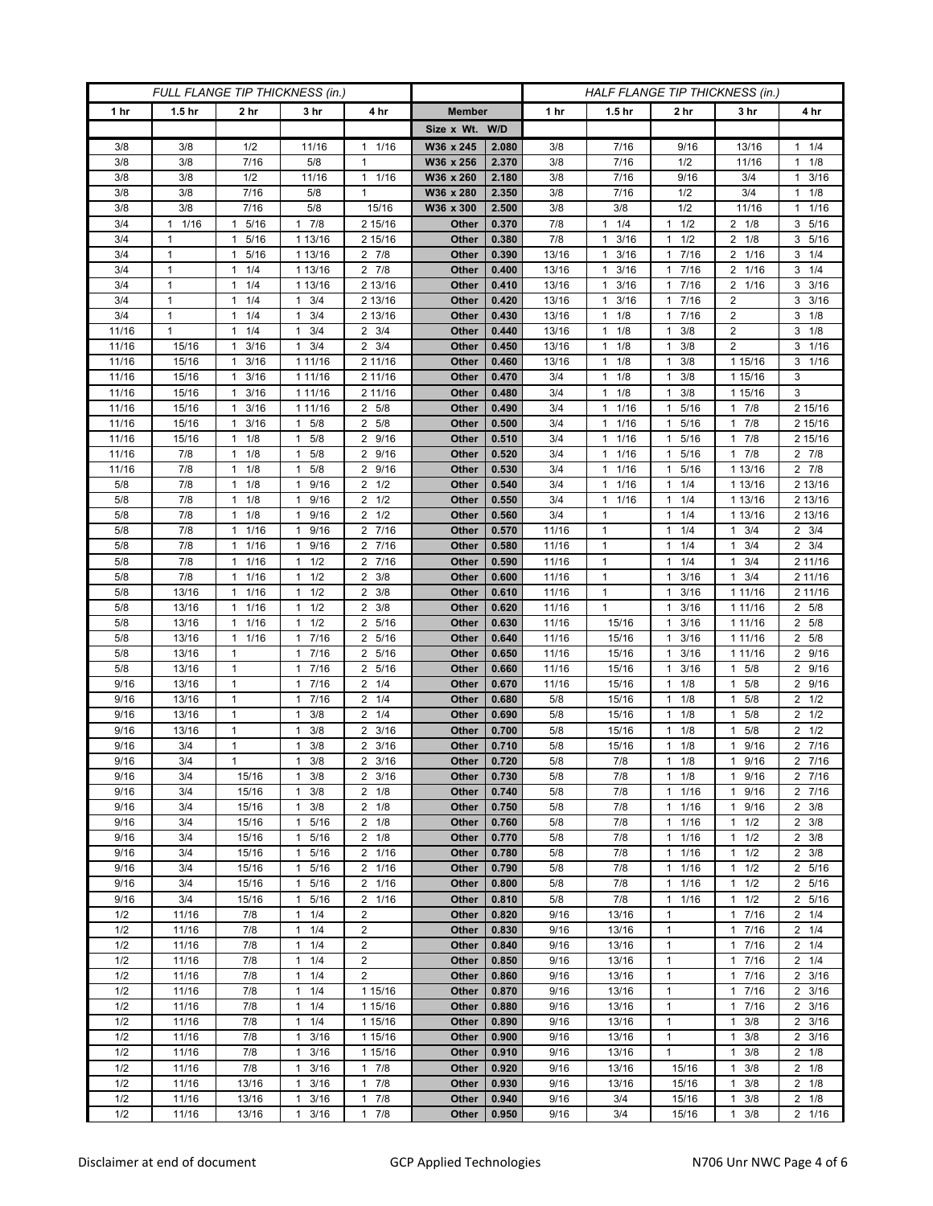| FULL FLANGE TIP THICKNESS (in.) |                      |                      |                        |                                     |                | HALF FLANGE TIP THICKNESS (in.) |            |                                   |                                              |                        |                                    |  |
|---------------------------------|----------------------|----------------------|------------------------|-------------------------------------|----------------|---------------------------------|------------|-----------------------------------|----------------------------------------------|------------------------|------------------------------------|--|
| 1 hr                            | 1.5 <sub>hr</sub>    | 2 hr                 | 3 hr                   | 4 hr                                | <b>Member</b>  |                                 | 1 hr       | 1.5 <sub>hr</sub>                 | 2 hr                                         | 3 hr                   | 4 hr                               |  |
|                                 |                      |                      |                        |                                     | Size x Wt. W/D |                                 |            |                                   |                                              |                        |                                    |  |
| 3/8                             | 3/8                  | 1/2                  | 11/16                  | 1/16<br>$\mathbf{1}$                | W36 x 245      | 2.080                           | 3/8        | 7/16                              | 9/16                                         | 13/16                  | $1 \t1/4$                          |  |
| 3/8                             | 3/8                  | 7/16                 | 5/8                    | $\mathbf{1}$                        | W36 x 256      | 2.370                           | 3/8        | 7/16                              | 1/2                                          | 11/16                  | $1 \t1/8$                          |  |
| 3/8                             | 3/8                  | 1/2                  | 11/16                  | $\mathbf{1}$<br>1/16                | W36 x 260      | 2.180                           | 3/8        | 7/16                              | 9/16                                         | 3/4                    | 3/16<br>$\mathbf{1}$               |  |
| 3/8                             | 3/8                  | 7/16                 | 5/8                    | $\mathbf{1}$                        | W36 x 280      | 2.350                           | 3/8        | 7/16                              | 1/2                                          | 3/4                    | $1 \t1/8$                          |  |
| 3/8                             | 3/8                  | 7/16                 | 5/8                    | 15/16                               | W36 x 300      | 2.500                           | 3/8        | 3/8                               | 1/2                                          | 11/16                  | 11/16                              |  |
| 3/4                             | 1/16<br>$\mathbf{1}$ | 5/16<br>1            | 7/8<br>$\mathbf{1}$    | 2 15/16                             | Other          | 0.370                           | 7/8        | $1 \t1/4$                         | 1/2<br>$\mathbf{1}$                          | $2 \t1/8$              | 3 5/16                             |  |
| 3/4                             | $\mathbf{1}$         | 5/16<br>$\mathbf{1}$ | 1 13/16                | 2 15/16                             | Other          | 0.380                           | 7/8        | 3/16<br>1                         | 1/2<br>1                                     | $2 \t1/8$              | 3 5/16                             |  |
| 3/4                             | $\mathbf{1}$         | 5/16<br>$\mathbf{1}$ | 1 13/16                | $2 \t 7/8$                          | Other          | 0.390                           | 13/16      | 3/16<br>$\mathbf{1}$              | 7/16<br>$\mathbf{1}$                         | 2 1/16                 | $3 \t1/4$                          |  |
| 3/4                             | 1                    | 1/4<br>1             | 1 13/16                | 7/8<br>2                            | Other          | 0.400                           | 13/16      | 3/16<br>$\mathbf{1}$              | 7/16<br>$\mathbf{1}$                         | $\overline{2}$<br>1/16 | $3 \t1/4$                          |  |
| 3/4                             | $\mathbf{1}$         | 1/4<br>$\mathbf{1}$  | 1 13/16                | 2 13/16                             | Other          | 0.410                           | 13/16      | 3/16<br>$\mathbf{1}$              | $7/16$<br>$\mathbf{1}$                       | 2 1/16                 | $3 \frac{3}{16}$                   |  |
| 3/4                             | $\mathbf{1}$         | 1/4<br>$\mathbf{1}$  | 3/4<br>$\mathbf{1}$    | 2 13/16                             | Other          | 0.420                           | 13/16      | 3/16<br>$\mathbf{1}$              | 7/16<br>$\mathbf{1}$                         | $\overline{2}$         | $3 \frac{3}{16}$                   |  |
| 3/4                             | 1                    | 1/4<br>1             | 3/4<br>1               | 2 13/16                             | Other          | 0.430                           | 13/16      | $1 \t1/8$                         | 7/16<br>$\mathbf{1}$                         | 2                      | $3 \t1/8$                          |  |
| 11/16                           | 1                    | 1/4<br>1             | 3/4<br>1               | $2 \frac{3}{4}$                     | Other          | 0.440                           | 13/16      | $1 \t1/8$                         | 3/8<br>$\mathbf{1}$                          | 2                      | $3 \t1/8$                          |  |
| 11/16                           | 15/16                | 3/16<br>1            | 3/4<br>$\mathbf{1}$    | $\overline{2}$<br>3/4               | Other          | 0.450                           | 13/16      | $1 \t1/8$                         | 3/8<br>$\mathbf{1}$                          | $\overline{2}$         | 3 1/16                             |  |
| 11/16                           | 15/16                | 3/16<br>$\mathbf{1}$ | 1 11/16                | 2 11/16                             | Other          | 0.460                           | 13/16      | $1 \t1/8$                         | 3/8<br>$\mathbf{1}$                          | 1 15/16                | $3 \t1/16$                         |  |
| 11/16                           | 15/16                | $1 \t3/16$           | 1 11/16                | 2 11/16                             | Other          | 0.470                           | 3/4        | $1 \t1/8$                         | 3/8<br>$\mathbf{1}$                          | 1 15/16                | 3                                  |  |
| 11/16                           | 15/16                | 3/16<br>1            | 1 11/16                | 2 11/16                             | Other          | 0.480                           | 3/4        | 1/8<br>$\mathbf{1}$               | 3/8<br>$\mathbf{1}$                          | 1 15/16                | 3                                  |  |
| 11/16                           | 15/16                | 3/16<br>$\mathbf{1}$ | 1 11/16                | 2 5/8                               | Other          | 0.490                           | 3/4        | 1/16<br>$\mathbf{1}$              | 5/16<br>$\mathbf{1}$                         | 17/8                   | 2 15/16                            |  |
| 11/16                           | 15/16                | $1 \t3/16$           | $1 \t5/8$              | 2 5/8                               | Other          | 0.500                           | 3/4        | $1 \t1/16$                        | 5/16<br>1                                    | 17/8                   | 2 15/16                            |  |
| 11/16<br>11/16                  | 15/16<br>7/8         | 1/8<br>1<br>1/8<br>1 | 5/8<br>1<br>5/8<br>1   | 9/16<br>2<br>9/16<br>$\overline{2}$ | Other<br>Other | 0.510<br>0.520                  | 3/4<br>3/4 | 1/16<br>1<br>1/16<br>$\mathbf{1}$ | 5/16<br>$\mathbf{1}$<br>5/16<br>$\mathbf{1}$ | 7/8<br>-1<br>7/8<br>1  | 2 15/16<br>$2 \t7/8$               |  |
|                                 | 7/8                  | $1 \t1/8$            | 5/8<br>$\mathbf{1}$    | 9/16<br>2                           | Other          | 0.530                           | 3/4        | 11/16                             | 5/16<br>$\mathbf{1}$                         | 1 13/16                | $2 \t 7/8$                         |  |
| 11/16<br>5/8                    | 7/8                  | 1/8<br>1             | 9/16<br>-1             | 2<br>1/2                            | Other          | 0.540                           | 3/4        | 1/16<br>1                         | 1/4<br>$\mathbf{1}$                          | 1 13/16                | 2 13/16                            |  |
| 5/8                             | 7/8                  | 1/8<br>$\mathbf{1}$  | 9/16<br>$\mathbf{1}$   | $2 \frac{1}{2}$                     | Other          | 0.550                           | 3/4        | 11/16                             | 1/4<br>$\mathbf{1}$                          | 1 13/16                | 2 13/16                            |  |
| 5/8                             | 7/8                  | $1 \t1/8$            | 1 9/16                 | $2 \frac{1}{2}$                     | Other          | 0.560                           | 3/4        | $\mathbf{1}$                      | 1/4<br>$\mathbf{1}$                          | 1 13/16                | 2 13/16                            |  |
| 5/8                             | 7/8                  | 1/16<br>$\mathbf{1}$ | 9/16<br>1              | 7/16<br>$\overline{2}$              | Other          | 0.570                           | 11/16      | 1                                 | 1/4<br>$\mathbf{1}$                          | 3/4<br>1               | $2 \frac{3}{4}$                    |  |
| 5/8                             | 7/8                  | 1/16<br>$\mathbf{1}$ | 9/16<br>1              | 2 7/16                              | Other          | 0.580                           | 11/16      | $\mathbf{1}$                      | 1/4<br>$\mathbf{1}$                          | 3/4<br>1               | $2 \frac{3}{4}$                    |  |
| 5/8                             | 7/8                  | 1/16<br>$\mathbf{1}$ | $1 \t1/2$              | 7/16<br>2                           | Other          | 0.590                           | 11/16      | $\mathbf{1}$                      | 1/4<br>$\mathbf{1}$                          | 3/4<br>1               | 2 11/16                            |  |
| 5/8                             | 7/8                  | 1/16<br>$\mathbf{1}$ | $1 \t1/2$              | $2 \frac{3}{8}$                     | Other          | 0.600                           | 11/16      | $\mathbf{1}$                      | 3/16<br>$\mathbf{1}$                         | 3/4<br>1               | 2 11/16                            |  |
| 5/8                             | 13/16                | 1/16<br>$\mathbf{1}$ | 1/2<br>1               | 3/8<br>2                            | Other          | 0.610                           | 11/16      | $\mathbf{1}$                      | 3/16<br>$\mathbf{1}$                         | 1 1 1 / 1 6            | 2 11/16                            |  |
| 5/8                             | 13/16                | 1<br>1/16            | 1/2<br>$\mathbf{1}$    | $\overline{2}$<br>3/8               | Other          | 0.620                           | 11/16      | $\mathbf{1}$                      | 3/16<br>$\mathbf{1}$                         | 1 11/16                | 2 5/8                              |  |
| 5/8                             | 13/16                | 1/16<br>$\mathbf{1}$ | 1/2<br>$\mathbf{1}$    | 5/16<br>2                           | Other          | 0.630                           | 11/16      | 15/16                             | 3/16<br>$\mathbf{1}$                         | 1 11/16                | 2 5/8                              |  |
| 5/8                             | 13/16                | 1/16<br>$\mathbf{1}$ | 7/16<br>$\mathbf{1}$   | 5/16<br>2                           | Other          | 0.640                           | 11/16      | 15/16                             | 3/16<br>$\mathbf{1}$                         | 1 11/16                | 2 5/8                              |  |
| 5/8                             | 13/16                | $\mathbf{1}$         | 1 7/16                 | 5/16<br>2                           | Other          | 0.650                           | 11/16      | 15/16                             | 3/16<br>$\mathbf{1}$                         | 1 11/16                | 2 9/16                             |  |
| 5/8                             | 13/16                | $\mathbf{1}$         | 7/16<br>$\mathbf{1}$   | $\overline{2}$<br>5/16              | Other          | 0.660                           | 11/16      | 15/16                             | 3/16<br>$\mathbf{1}$                         | 5/8<br>1               | 2 9/16                             |  |
| 9/16                            | 13/16                | $\mathbf{1}$         | 7/16<br>$\mathbf{1}$   | 1/4<br>2                            | Other          | 0.670                           | 11/16      | 15/16                             | 1/8<br>$\mathbf{1}$                          | 5/8<br>1               | 2 9/16                             |  |
| 9/16                            | 13/16                | $\mathbf{1}$         | 17/16                  | 1/4<br>2                            | Other          | 0.680                           | 5/8        | 15/16                             | 1/8<br>$\mathbf{1}$                          | 5/8<br>1               | $2 \frac{1}{2}$                    |  |
| 9/16                            | 13/16                | $\mathbf{1}$         | 3/8<br>1               | 1/4<br>2                            | Other          | 0.690                           | 5/8        | 15/16                             | 1/8<br>$\mathbf{1}$                          | 5/8<br>1               | $2 \frac{1}{2}$                    |  |
| 9/16                            | 13/16                | $\mathbf{1}$         | 3/8<br>1               | $\overline{2}$<br>3/16              | Other          | 0.700                           | 5/8        | 15/16                             | 1/8<br>$\mathbf{1}$                          | 5/8                    | $2 \frac{1}{2}$                    |  |
| 9/16                            | 3/4                  | $\mathbf{1}$         | 3/8<br>1               | $2 \frac{3}{16}$                    | Other          | 0.710                           | 5/8        | 15/16                             | 1/8<br>$\mathbf{1}$                          | 9/16<br>1              | 2 7/16                             |  |
| 9/16                            | 3/4                  | $\mathbf{1}$         | 3/8<br>1               | $\overline{2}$<br>3/16              | Other          | 0.720                           | 5/8        | 7/8                               | 1/8<br>$\mathbf{1}$                          | 9/16<br>$\mathbf{1}$   | 2 7/16                             |  |
| 9/16                            | 3/4                  | 15/16                | 3/8<br>1               | $2 \frac{3}{16}$                    | Other          | 0.730                           | 5/8        | 7/8                               | 1/8<br>$\mathbf{1}$                          | 1 9/16                 | 2 7/16                             |  |
| 9/16                            | 3/4                  | 15/16                | $1 \t3/8$              | $2 \t1/8$                           | Other          | 0.740                           | 5/8        | 7/8                               | 1/16<br>$\mathbf{1}$                         | 9/16<br>$\mathbf{1}$   | 2 7/16                             |  |
| 9/16<br>9/16                    | 3/4<br>3/4           | 15/16<br>15/16       | $1 \t3/8$<br>5/16<br>1 | $2 \t1/8$<br>$\overline{2}$<br>1/8  | Other<br>Other | 0.750<br>0.760                  | 5/8<br>5/8 | 7/8<br>7/8                        | 1/16<br>1<br>1/16<br>$\mathbf{1}$            | 1 9/16<br>1/2<br>1     | $2 \frac{3}{8}$<br>$2 \frac{3}{8}$ |  |
| 9/16                            | 3/4                  | 15/16                | 1 5/16                 | $2 \t1/8$                           | Other          | 0.770                           | 5/8        | 7/8                               | 1/16<br>$\mathbf{1}$                         | $1 \t1/2$              | $2 \frac{3}{8}$                    |  |
| 9/16                            | 3/4                  | 15/16                | 1 5/16                 | 2 1/16                              | Other          | 0.780                           | 5/8        | 7/8                               | 1/16<br>$\mathbf{1}$                         | $1 \t1/2$              | $2 \frac{3}{8}$                    |  |
| 9/16                            | 3/4                  | 15/16                | 5/16<br>$\mathbf{1}$   | 2 1/16                              | Other          | 0.790                           | 5/8        | 7/8                               | 1/16<br>$\mathbf{1}$                         | 1/2<br>1               | 2 5/16                             |  |
| 9/16                            | 3/4                  | 15/16                | 1 5/16                 | 2 1/16                              | Other          | 0.800                           | 5/8        | 7/8                               | $1/16$<br>$\mathbf{1}$                       | 1/2<br>$\mathbf{1}$    | 2 5/16                             |  |
| 9/16                            | 3/4                  | 15/16                | 1 5/16                 | 2 1/16                              | Other          | 0.810                           | 5/8        | 7/8                               | 1/16<br>$\mathbf{1}$                         | $1 \t1/2$              | 2 5/16                             |  |
| 1/2                             | 11/16                | 7/8                  | $1 \t1/4$              | $\overline{2}$                      | Other          | 0.820                           | 9/16       | 13/16                             | $\mathbf{1}$                                 | 7/16<br>$\mathbf{1}$   | $2 \t1/4$                          |  |
| 1/2                             | 11/16                | 7/8                  | $1 \t1/4$              | $\overline{2}$                      | Other          | 0.830                           | 9/16       | 13/16                             | $\mathbf{1}$                                 | 7/16<br>$\mathbf{1}$   | $2 \t1/4$                          |  |
| 1/2                             | 11/16                | 7/8                  | $1 \t1/4$              | $\overline{2}$                      | Other          | 0.840                           | 9/16       | 13/16                             | $\mathbf{1}$                                 | 1 7/16                 | $2 \t1/4$                          |  |
| 1/2                             | 11/16                | 7/8                  | $1 \t1/4$              | 2                                   | Other          | 0.850                           | 9/16       | 13/16                             | $\mathbf{1}$                                 | 1 7/16                 | $2 \t1/4$                          |  |
| 1/2                             | 11/16                | 7/8                  | $1 \t1/4$              | $\overline{2}$                      | Other          | 0.860                           | 9/16       | 13/16                             | $\mathbf{1}$                                 | 1 7/16                 | $2 \frac{3}{16}$                   |  |
| 1/2                             | 11/16                | 7/8                  | $\mathbf{1}$<br>1/4    | 1 15/16                             | Other          | 0.870                           | 9/16       | 13/16                             | $\mathbf{1}$                                 | 7/16<br>1              | $2 \frac{3}{16}$                   |  |
| 1/2                             | 11/16                | 7/8                  | 1/4<br>$\mathbf{1}$    | 1 15/16                             | Other          | 0.880                           | 9/16       | 13/16                             | $\mathbf{1}$                                 | 7/16<br>$\mathbf{1}$   | $2 \frac{3}{16}$                   |  |
| 1/2                             | 11/16                | 7/8                  | $\mathbf{1}$<br>1/4    | 1 15/16                             | Other          | 0.890                           | 9/16       | 13/16                             | $\mathbf{1}$                                 | 3/8<br>$\mathbf{1}$    | $2 \frac{3}{16}$                   |  |
| 1/2                             | 11/16                | 7/8                  | 1<br>3/16              | 1 15/16                             | Other          | 0.900                           | 9/16       | 13/16                             | $\mathbf{1}$                                 | 3/8                    | 2 3/16                             |  |
| 1/2                             | 11/16                | 7/8                  | 3/16<br>$\mathbf{1}$   | 1 15/16                             | Other          | 0.910                           | 9/16       | 13/16                             | $\mathbf{1}$                                 | 3/8<br>1               | $2 \t1/8$                          |  |
| 1/2                             | 11/16                | 7/8                  | 3/16<br>$\mathbf{1}$   | $1 \t7/8$                           | Other          | 0.920                           | 9/16       | 13/16                             | 15/16                                        | 3/8<br>$\mathbf{1}$    | $2 \t1/8$                          |  |
| 1/2                             | 11/16                | 13/16                | 3/16<br>$\mathbf{1}$   | 7/8<br>1                            | Other          | 0.930                           | 9/16       | 13/16                             | 15/16                                        | 3/8<br>1               | $2 \t1/8$                          |  |
| 1/2                             | 11/16                | 13/16                | 3/16<br>1              | 7/8<br>1                            | Other          | 0.940                           | 9/16       | 3/4                               | 15/16                                        | 3/8<br>1               | $2 \t1/8$                          |  |
| 1/2                             | 11/16                | 13/16                | 3/16<br>$\mathbf{1}$   | 7/8<br>$\mathbf{1}$                 | Other          | 0.950                           | 9/16       | 3/4                               | 15/16                                        | 3/8<br>$\mathbf{1}$    | 2 1/16                             |  |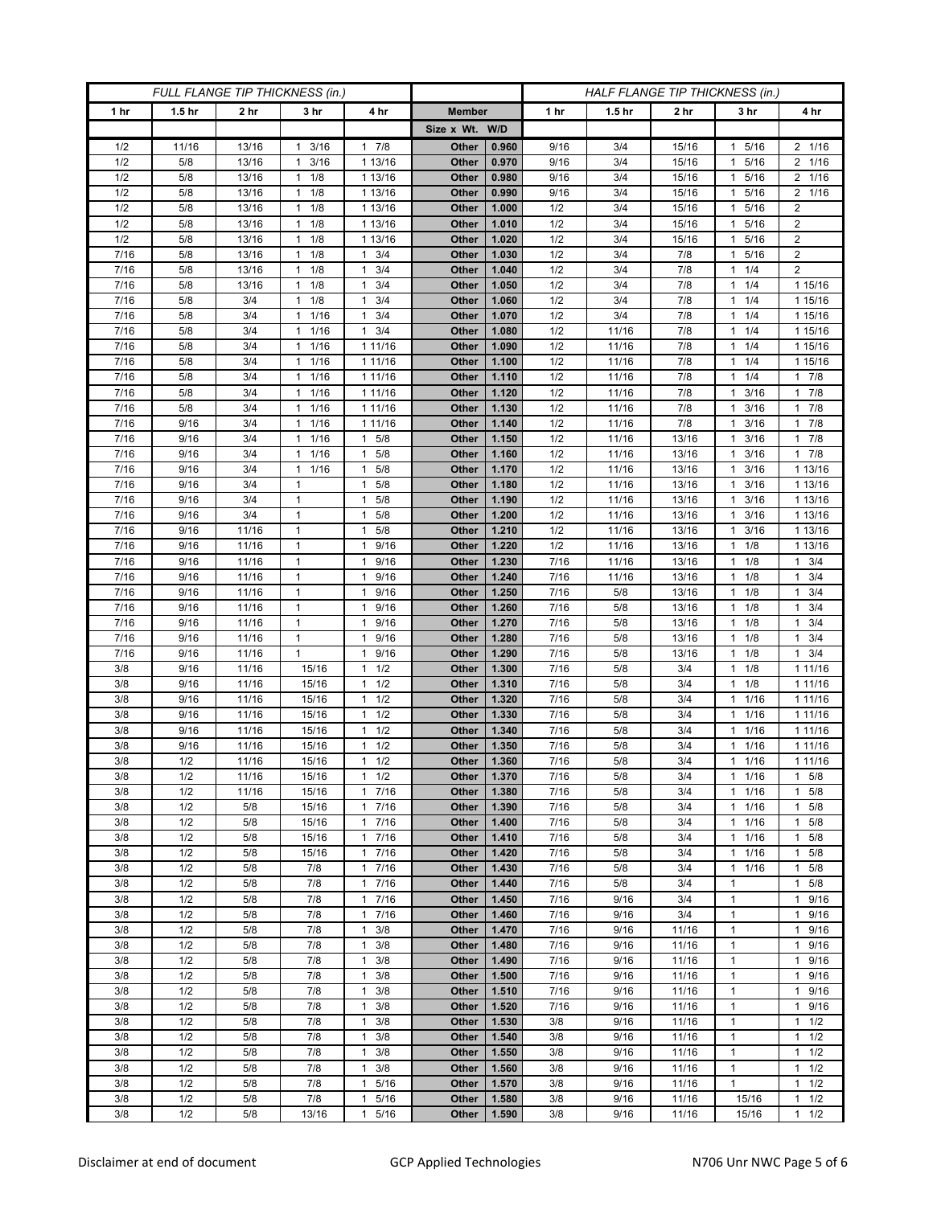| FULL FLANGE TIP THICKNESS (in.) |                   |                 |                                   |                                 | HALF FLANGE TIP THICKNESS (in.) |                |              |                   |                 |                      |                     |
|---------------------------------|-------------------|-----------------|-----------------------------------|---------------------------------|---------------------------------|----------------|--------------|-------------------|-----------------|----------------------|---------------------|
| 1 hr                            | 1.5 <sub>hr</sub> | 2 <sub>hr</sub> | 3 <sub>hr</sub>                   | 4 hr                            | <b>Member</b>                   |                | 1 hr         | 1.5 <sub>hr</sub> | 2 <sub>hr</sub> | 3 hr                 | 4 hr                |
|                                 |                   |                 |                                   |                                 | Size x Wt. W/D                  |                |              |                   |                 |                      |                     |
| 1/2                             | 11/16             | 13/16           | 3/16<br>$\mathbf{1}$              | 7/8<br>$\mathbf{1}$             | Other                           | 0.960          | 9/16         | 3/4               | 15/16           | 5/16<br>1            | 2 1/16              |
| 1/2                             | 5/8               | 13/16           | 3/16<br>$\mathbf{1}$              | 1 13/16                         | Other                           | 0.970          | 9/16         | 3/4               | 15/16           | 5/16<br>1            | 2 1/16              |
| 1/2                             | 5/8               | 13/16           | $1 \t1/8$                         | 1 13/16                         | Other                           | 0.980          | 9/16         | 3/4               | 15/16           | 5/16<br>1            | 2 1/16              |
| 1/2                             | 5/8               | 13/16           | 1/8<br>1                          | 1 13/16                         | Other                           | 0.990          | 9/16         | 3/4               | 15/16           | 5/16                 | 2 1/16              |
| 1/2                             | 5/8               | 13/16           | 1/8<br>$\mathbf{1}$               | 1 13/16                         | Other                           | 1.000          | 1/2          | 3/4               | 15/16           | 5/16<br>1            | $\boldsymbol{2}$    |
| 1/2                             | 5/8               | 13/16           | $1 \t1/8$                         | 1 13/16                         | Other                           | 1.010          | 1/2          | 3/4               | 15/16           | 5/16<br>1.           | $\overline{c}$      |
| 1/2                             | 5/8               | 13/16           | 1/8<br>$\mathbf{1}$               | 1 13/16                         | Other                           | 1.020          | 1/2          | 3/4               | 15/16           | 5/16                 | $\boldsymbol{2}$    |
| 7/16                            | 5/8               | 13/16           | 1/8<br>$\mathbf{1}$               | 3/4<br>$\mathbf{1}$             | Other                           | 1.030          | 1/2          | 3/4               | 7/8             | 5/16<br>1            | $\overline{2}$      |
| 7/16                            | 5/8               | 13/16           | $1 \t1/8$                         | 3/4<br>$\mathbf{1}$             | Other                           | 1.040          | 1/2          | 3/4               | 7/8             | 1/4<br>1.            | $\overline{2}$      |
| 7/16                            | 5/8               | 13/16           | 1/8<br>1                          | 3/4<br>$\mathbf{1}$             | Other                           | 1.050          | 1/2          | 3/4               | 7/8             | 1/4<br>1             | 1 15/16             |
| 7/16                            | 5/8               | 3/4             | 1/8<br>1                          | 3/4<br>$\mathbf{1}$             | Other                           | 1.060          | 1/2          | 3/4               | 7/8             | 1/4<br>1             | 1 15/16             |
| 7/16                            | 5/8               | 3/4             | 1/16<br>$\mathbf{1}$              | $\mathbf{1}$<br>3/4             | Other                           | 1.070          | 1/2          | 3/4               | 7/8             | 1/4<br>1             | 1 15/16             |
| 7/16                            | 5/8               | 3/4             | 1/16<br>$\mathbf{1}$              | 3/4<br>1                        | Other                           | 1.080          | 1/2          | 11/16             | 7/8             | 1/4<br>1             | 1 15/16             |
| 7/16<br>7/16                    | 5/8<br>5/8        | 3/4<br>3/4      | 1/16<br>1<br>1/16<br>$\mathbf{1}$ | 1 11/16                         | Other                           | 1.090          | 1/2<br>1/2   | 11/16             | 7/8<br>7/8      | 1/4<br>1<br>1/4      | 1 15/16<br>1 15/16  |
| 7/16                            | 5/8               | 3/4             | 1/16<br>$\mathbf{1}$              | 1 11/16<br>1 11/16              | Other<br>Other                  | 1.100<br>1.110 | 1/2          | 11/16<br>11/16    | 7/8             | 1/4<br>1             | 17/8                |
| 7/16                            | 5/8               | 3/4             | 1/16<br>$\mathbf{1}$              | 1 11/16                         | Other                           | 1.120          | 1/2          | 11/16             | 7/8             | 3/16<br>1            | 17/8                |
| 7/16                            | 5/8               | 3/4             | $\mathbf{1}$<br>1/16              | 1 11/16                         | Other                           | 1.130          | 1/2          | 11/16             | 7/8             | 3/16                 | 17/8                |
| $\frac{1}{7}{16}$               | 9/16              | 3/4             | 1/16<br>$\mathbf{1}$              | 1 11/16                         | Other                           | 1.140          | 1/2          | 11/16             | 7/8             | 3/16<br>1            | 17/8                |
| 7/16                            | 9/16              | 3/4             | 1/16<br>$\mathbf{1}$              | 5/8<br>1                        | Other                           | 1.150          | 1/2          | 11/16             | 13/16           | 3/16<br>1            | 17/8                |
| 7/16                            | 9/16              | 3/4             | 1/16<br>$\mathbf{1}$              | 5/8<br>$\mathbf{1}$             | Other                           | 1.160          | 1/2          | 11/16             | 13/16           | 3/16                 | $1 \t7/8$           |
| 7/16                            | 9/16              | 3/4             | 1/16<br>1                         | 5/8<br>1                        | Other                           | 1.170          | 1/2          | 11/16             | 13/16           | 3/16<br>1            | 1 13/16             |
| 7/16                            | 9/16              | 3/4             | $\mathbf{1}$                      | 5/8<br>$\mathbf{1}$             | Other                           | 1.180          | 1/2          | 11/16             | 13/16           | 3/16                 | 1 13/16             |
| 7/16                            | 9/16              | 3/4             | $\mathbf{1}$                      | 5/8<br>1                        | Other                           | 1.190          | 1/2          | 11/16             | 13/16           | 3/16<br>$\mathbf{1}$ | 1 13/16             |
| 7/16                            | 9/16              | 3/4             | $\mathbf{1}$                      | 5/8<br>1                        | Other                           | 1.200          | 1/2          | 11/16             | 13/16           | 3/16<br>1.           | 1 13/16             |
| 7/16                            | 9/16              | 11/16           | $\mathbf{1}$                      | 5/8<br>$\mathbf{1}$             | Other                           | 1.210          | 1/2          | 11/16             | 13/16           | 3/16                 | 1 13/16             |
| 7/16                            | 9/16              | 11/16           | $\mathbf{1}$                      | 9/16<br>$\mathbf{1}$            | <b>Other</b>                    | 1.220          | 1/2          | 11/16             | 13/16           | 1/8<br>1             | 1 13/16             |
| 7/16                            | 9/16              | 11/16           | 1                                 | 9/16<br>1                       | Other                           | 1.230          | 7/16         | 11/16             | 13/16           | $1 \t1/8$            | $1 \t3/4$           |
| 7/16                            | 9/16              | 11/16           | $\mathbf{1}$                      | 9/16<br>1                       | Other                           | 1.240          | 7/16         | 11/16             | 13/16           | 1/8                  | 3/4<br>$\mathbf{1}$ |
| 7/16                            | 9/16              | 11/16           | $\mathbf{1}$                      | 9/16<br>$\mathbf{1}$            | <b>Other</b>                    | 1.250          | 7/16         | 5/8               | 13/16           | 1/8<br>1             | $1 \t3/4$           |
| 7/16                            | 9/16              | 11/16           | $\mathbf{1}$                      | 9/16<br>1                       | Other                           | 1.260          | 7/16         | 5/8               | 13/16           | $1 \t1/8$            | $1 \t3/4$           |
| 7/16                            | 9/16              | 11/16           | $\mathbf{1}$                      | 9/16<br>1                       | Other                           | 1.270          | 7/16         | 5/8               | 13/16           | 1/8<br>1             | 3/4<br>$\mathbf{1}$ |
| 7/16                            | 9/16              | 11/16           | $\mathbf{1}$                      | 9/16<br>$\mathbf{1}$            | <b>Other</b>                    | 1.280          | 7/16         | 5/8               | 13/16           | 1/8<br>1             | $1 \t3/4$           |
| 7/16                            | 9/16              | 11/16           | $\mathbf{1}$                      | 9/16<br>$\mathbf{1}$            | Other                           | 1.290          | 7/16         | 5/8               | 13/16           | $1 \t1/8$            | $1 \t3/4$           |
| 3/8<br>3/8                      | 9/16<br>9/16      | 11/16<br>11/16  | 15/16<br>15/16                    | 1/2<br>1<br>1/2<br>$\mathbf{1}$ | Other<br>Other                  | 1.300<br>1.310 | 7/16<br>7/16 | 5/8<br>5/8        | 3/4<br>3/4      | 1/8<br>1<br>1/8<br>1 | 1 11/16<br>1 11/16  |
| 3/8                             | 9/16              | 11/16           | 15/16                             | 1/2<br>$\mathbf{1}$             | Other                           | 1.320          | 7/16         | 5/8               | 3/4             | 1/16<br>1            | 1 1 1 / 16          |
| 3/8                             | 9/16              | 11/16           | 15/16                             | 1/2<br>1                        | Other                           | 1.330          | 7/16         | 5/8               | 3/4             | 1/16<br>1            | 1 11/16             |
| 3/8                             | 9/16              | 11/16           | 15/16                             | 1/2<br>$\mathbf{1}$             | Other                           | 1.340          | 7/16         | 5/8               | 3/4             | 1/16<br>1            | 1 1 1/16            |
| 3/8                             | 9/16              | 11/16           | 15/16                             | 1/2<br>$\mathbf{1}$             | Other                           | 1.350          | 7/16         | 5/8               | 3/4             | 1/16                 | 1 1 1 / 1 6         |
| 3/8                             | 1/2               | 11/16           | 15/16                             | 1/2<br>$\mathbf{1}$             | Other                           | 1.360          | 7/16         | 5/8               | 3/4             | 1/16<br>$\mathbf{1}$ | 1 1 1 / 1 6         |
| 3/8                             | 1/2               | 11/16           | 15/16                             | $1 \t1/2$                       | Other                           | 1.370          | 7/16         | 5/8               | 3/4             | $1 \t1/16$           | $1 \t5/8$           |
| 3/8                             | 1/2               | 11/16           | 15/16                             | 7/16<br>$\mathbf{1}$            | Other                           | 1.380          | 7/16         | 5/8               | 3/4             | 1/16<br>1.           | $1 \t5/8$           |
| 3/8                             | 1/2               | 5/8             | 15/16                             | 7/16<br>1                       | Other                           | 1.390          | 7/16         | 5/8               | 3/4             | 1/16<br>$\mathbf{1}$ | $1 \t5/8$           |
| 3/8                             | 1/2               | 5/8             | 15/16                             | $\mathbf{1}$<br>7/16            | Other                           | 1.400          | 7/16         | 5/8               | 3/4             | $\mathbf{1}$<br>1/16 | 1 5/8               |
| 3/8                             | 1/2               | 5/8             | 15/16                             | 7/16<br>$\mathbf{1}$            | Other                           | 1.410          | 7/16         | 5/8               | 3/4             | 1/16<br>1            | 1 5/8               |
| 3/8                             | 1/2               | 5/8             | 15/16                             | 7/16<br>$\mathbf{1}$            | Other                           | 1.420          | 7/16         | 5/8               | 3/4             | 1/16<br>1            | $1 \t5/8$           |
| 3/8                             | 1/2               | 5/8             | 7/8                               | 7/16<br>$\mathbf{1}$            | Other                           | 1.430          | 7/16         | 5/8               | 3/4             | 1/16<br>1            | $1 \t5/8$           |
| 3/8                             | 1/2               | 5/8             | 7/8                               | 7/16<br>$\mathbf{1}$            | Other                           | 1.440          | 7/16         | 5/8               | 3/4             | 1                    | $1 \t5/8$           |
| 3/8                             | 1/2               | 5/8             | 7/8                               | 7/16<br>$\mathbf{1}$            | Other                           | 1.450          | 7/16         | 9/16              | 3/4             | 1                    | 1 9/16              |
| 3/8                             | 1/2               | 5/8             | 7/8                               | $\mathbf{1}$<br>7/16            | Other                           | 1.460          | 7/16         | 9/16              | 3/4             | $\mathbf{1}$         | 1 9/16              |
| 3/8                             | 1/2               | 5/8             | 7/8                               | 3/8<br>$\mathbf{1}$             | Other                           | 1.470          | 7/16         | 9/16              | 11/16           | $\mathbf{1}$         | 1 9/16              |
| 3/8<br>3/8                      | 1/2<br>1/2        | 5/8<br>5/8      | 7/8<br>7/8                        | 3/8<br>$\mathbf{1}$<br>3/8<br>1 | Other<br>Other                  | 1.480<br>1.490 | 7/16<br>7/16 | 9/16<br>9/16      | 11/16<br>11/16  | $\mathbf{1}$<br>1    | 1 9/16<br>1 9/16    |
| 3/8                             | 1/2               | 5/8             | 7/8                               | 3/8<br>$\mathbf{1}$             | Other                           | 1.500          | 7/16         | 9/16              | 11/16           | $\mathbf{1}$         | 1 9/16              |
| 3/8                             | 1/2               | 5/8             | 7/8                               | $\mathbf{1}$<br>3/8             | Other                           | 1.510          | 7/16         | 9/16              | 11/16           | 1                    | 1 9/16              |
| 3/8                             | 1/2               | 5/8             | 7/8                               | 3/8<br>$\mathbf{1}$             | Other                           | 1.520          | 7/16         | 9/16              | 11/16           | 1                    | 1 9/16              |
| 3/8                             | 1/2               | 5/8             | 7/8                               | 3/8<br>$\mathbf{1}$             | Other                           | 1.530          | 3/8          | 9/16              | 11/16           | $\mathbf{1}$         | $1 \t1/2$           |
| 3/8                             | 1/2               | 5/8             | 7/8                               | 3/8<br>$\mathbf{1}$             | <b>Other</b>                    | 1.540          | 3/8          | 9/16              | 11/16           | $\mathbf{1}$         | $1 \t1/2$           |
| 3/8                             | 1/2               | 5/8             | 7/8                               | 3/8<br>$\mathbf{1}$             | Other                           | 1.550          | 3/8          | 9/16              | 11/16           | $\mathbf{1}$         | $1 \t1/2$           |
| 3/8                             | 1/2               | 5/8             | 7/8                               | 3/8<br>1                        | Other                           | 1.560          | 3/8          | 9/16              | 11/16           | $\mathbf{1}$         | $1 \t1/2$           |
| 3/8                             | 1/2               | 5/8             | 7/8                               | 5/16<br>$\mathbf{1}$            | Other                           | 1.570          | 3/8          | 9/16              | 11/16           | $\mathbf{1}$         | $1 \t1/2$           |
| 3/8                             | 1/2               | 5/8             | 7/8                               | 5/16<br>1                       | Other                           | 1.580          | 3/8          | 9/16              | 11/16           | 15/16                | $1 \t1/2$           |
| 3/8                             | 1/2               | 5/8             | 13/16                             | 5/16<br>1                       | Other                           | 1.590          | 3/8          | 9/16              | 11/16           | 15/16                | $1 \t1/2$           |